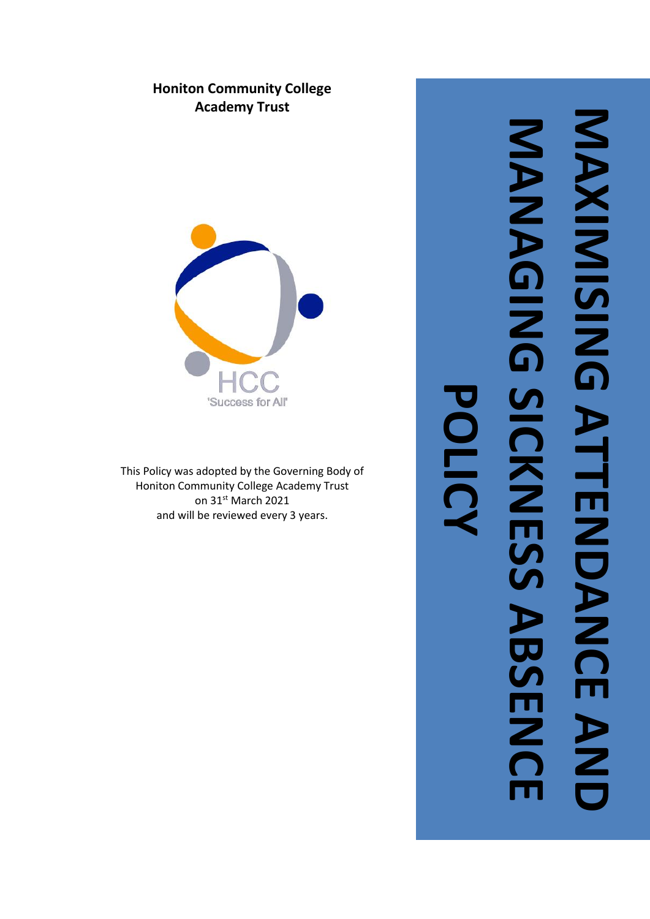# **Honiton Community College Academy Trust**



This Policy was adopted by the Governing Body of Honiton Community College Academy Trust on 31st March 2021 and will be reviewed every 3 years .

# **MAXIMISING ATTENDANCE AND**  MAXIMISINIS ATTENDANCE AND **MANAGING SICKNESS ABSENCE**  MANAGING SICKNESS ABSENC **POLICY**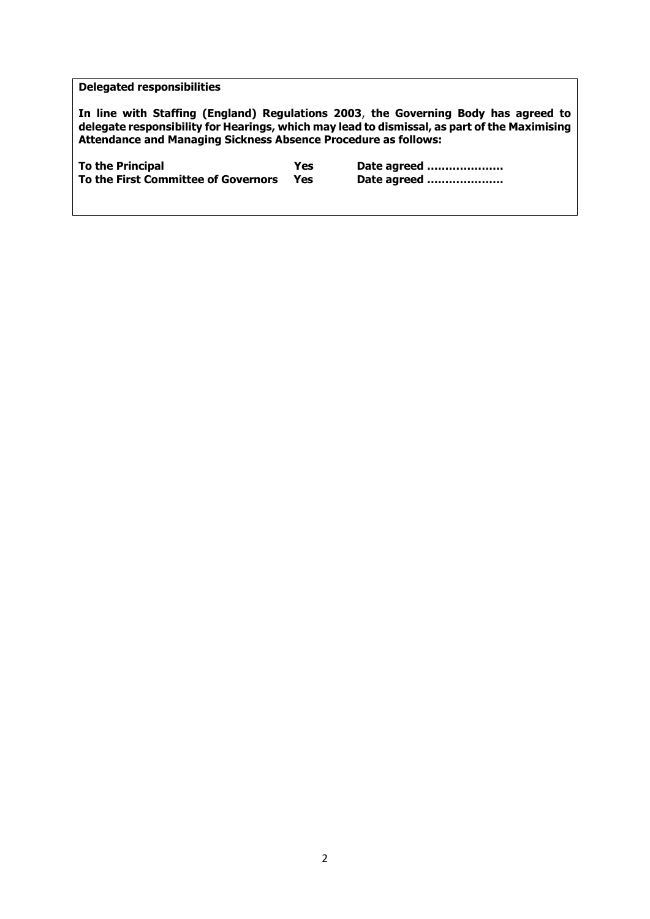# **Delegated responsibilities**

**In line with Staffing (England) Regulations 2003**, **the Governing Body has agreed to delegate responsibility for Hearings, which may lead to dismissal, as part of the Maximising Attendance and Managing Sickness Absence Procedure as follows:**

To the Principal **To the Principal** Yes Date agreed *mummmmm*<br>To the First Committee of Governors Yes Date agreed *mummmmm* **To the First Committee of Governors**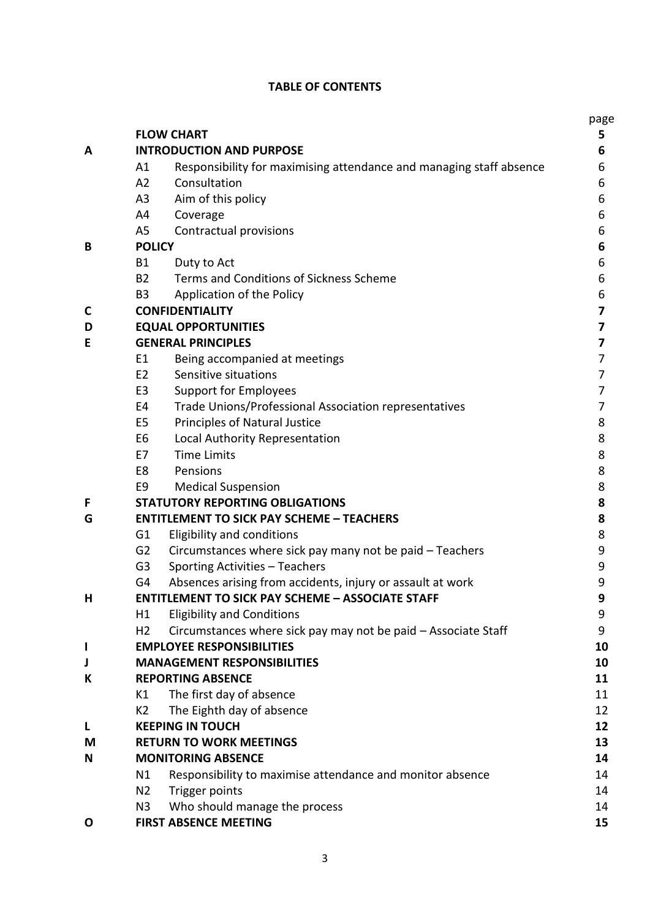# **TABLE OF CONTENTS**

|                                 |                                                                                  | page   |  |
|---------------------------------|----------------------------------------------------------------------------------|--------|--|
|                                 | <b>FLOW CHART</b>                                                                | 5      |  |
| A                               | <b>INTRODUCTION AND PURPOSE</b>                                                  |        |  |
|                                 | Responsibility for maximising attendance and managing staff absence<br>A1        | 6      |  |
|                                 | Consultation<br>A2                                                               | 6      |  |
|                                 | A3<br>Aim of this policy                                                         | 6      |  |
|                                 | Coverage<br>A4                                                                   | 6      |  |
|                                 | A <sub>5</sub><br>Contractual provisions                                         | 6      |  |
| B                               | <b>POLICY</b>                                                                    | 6      |  |
|                                 | <b>B1</b><br>Duty to Act                                                         | 6      |  |
|                                 | Terms and Conditions of Sickness Scheme<br><b>B2</b>                             | 6      |  |
|                                 | Application of the Policy<br>B <sub>3</sub>                                      | 6      |  |
| C                               | <b>CONFIDENTIALITY</b>                                                           | 7<br>7 |  |
| <b>EQUAL OPPORTUNITIES</b><br>D |                                                                                  |        |  |
| Е                               | <b>GENERAL PRINCIPLES</b>                                                        | 7      |  |
|                                 | Being accompanied at meetings<br>E1                                              | 7      |  |
|                                 | E <sub>2</sub><br>Sensitive situations                                           | 7      |  |
|                                 | E <sub>3</sub><br><b>Support for Employees</b>                                   | 7      |  |
|                                 | Trade Unions/Professional Association representatives<br>E4                      | 7      |  |
|                                 | Principles of Natural Justice<br>E5                                              | 8      |  |
|                                 | Local Authority Representation<br>E6                                             | 8      |  |
|                                 | <b>Time Limits</b><br>E7                                                         | 8      |  |
|                                 | Pensions<br>E8                                                                   | 8      |  |
|                                 | <b>Medical Suspension</b><br>E9                                                  | 8      |  |
| F                               | <b>STATUTORY REPORTING OBLIGATIONS</b>                                           | 8      |  |
| G                               | <b>ENTITLEMENT TO SICK PAY SCHEME - TEACHERS</b>                                 | 8      |  |
|                                 | <b>Eligibility and conditions</b><br>G <sub>1</sub>                              | 8      |  |
|                                 | G <sub>2</sub><br>Circumstances where sick pay many not be paid - Teachers       | 9      |  |
|                                 | Sporting Activities - Teachers<br>G <sub>3</sub>                                 | 9      |  |
|                                 | Absences arising from accidents, injury or assault at work<br>G4                 | 9      |  |
| н                               | <b>ENTITLEMENT TO SICK PAY SCHEME - ASSOCIATE STAFF</b>                          | 9      |  |
|                                 | <b>Eligibility and Conditions</b><br>Η1                                          | 9      |  |
|                                 | H <sub>2</sub><br>Circumstances where sick pay may not be paid - Associate Staff | 9      |  |
| ı                               | <b>EMPLOYEE RESPONSIBILITIES</b>                                                 | 10     |  |
| J                               | <b>MANAGEMENT RESPONSIBILITIES</b>                                               | 10     |  |
| К                               | <b>REPORTING ABSENCE</b>                                                         | 11     |  |
|                                 | The first day of absence<br>K1                                                   | 11     |  |
|                                 | The Eighth day of absence<br>K <sub>2</sub>                                      | 12     |  |
| L                               | <b>KEEPING IN TOUCH</b>                                                          | 12     |  |
| М                               | <b>RETURN TO WORK MEETINGS</b>                                                   | 13     |  |
| N                               | <b>MONITORING ABSENCE</b>                                                        | 14     |  |
|                                 | Responsibility to maximise attendance and monitor absence<br>N1                  | 14     |  |
|                                 | Trigger points<br>N <sub>2</sub>                                                 | 14     |  |
|                                 | Who should manage the process<br>N3                                              | 14     |  |
| O                               | <b>FIRST ABSENCE MEETING</b>                                                     | 15     |  |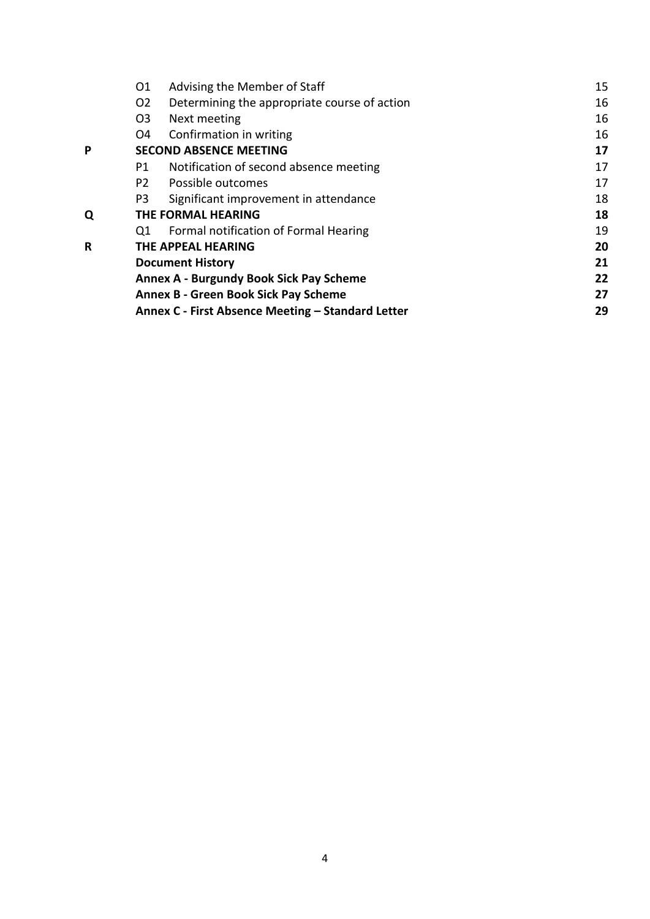|   | 01                                                | Advising the Member of Staff                 | 15 |
|---|---------------------------------------------------|----------------------------------------------|----|
|   | O <sub>2</sub>                                    | Determining the appropriate course of action | 16 |
|   | O <sub>3</sub>                                    | Next meeting                                 | 16 |
|   | O4                                                | Confirmation in writing                      | 16 |
| P | <b>SECOND ABSENCE MEETING</b>                     |                                              | 17 |
|   | P1                                                | Notification of second absence meeting       | 17 |
|   | P <sub>2</sub>                                    | Possible outcomes                            | 17 |
|   | P3                                                | Significant improvement in attendance        | 18 |
| Q | <b>THE FORMAL HEARING</b>                         |                                              | 18 |
|   | Q1                                                | Formal notification of Formal Hearing        | 19 |
| R | THE APPEAL HEARING                                |                                              | 20 |
|   | <b>Document History</b>                           |                                              | 21 |
|   | <b>Annex A - Burgundy Book Sick Pay Scheme</b>    |                                              | 22 |
|   | <b>Annex B - Green Book Sick Pay Scheme</b>       |                                              | 27 |
|   | Annex C - First Absence Meeting - Standard Letter |                                              | 29 |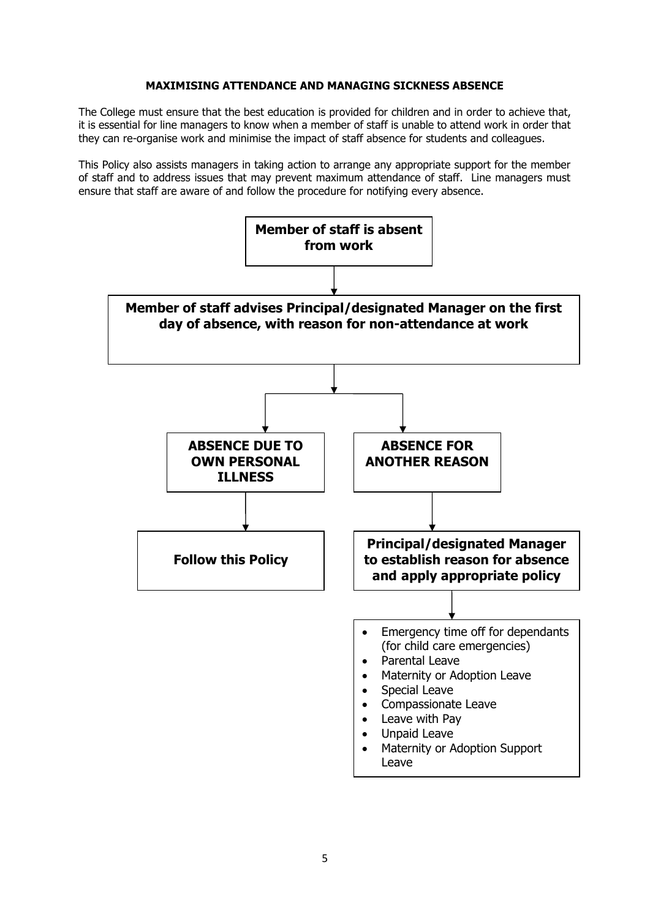### **MAXIMISING ATTENDANCE AND MANAGING SICKNESS ABSENCE**

The College must ensure that the best education is provided for children and in order to achieve that, it is essential for line managers to know when a member of staff is unable to attend work in order that they can re-organise work and minimise the impact of staff absence for students and colleagues.

This Policy also assists managers in taking action to arrange any appropriate support for the member of staff and to address issues that may prevent maximum attendance of staff. Line managers must ensure that staff are aware of and follow the procedure for notifying every absence.

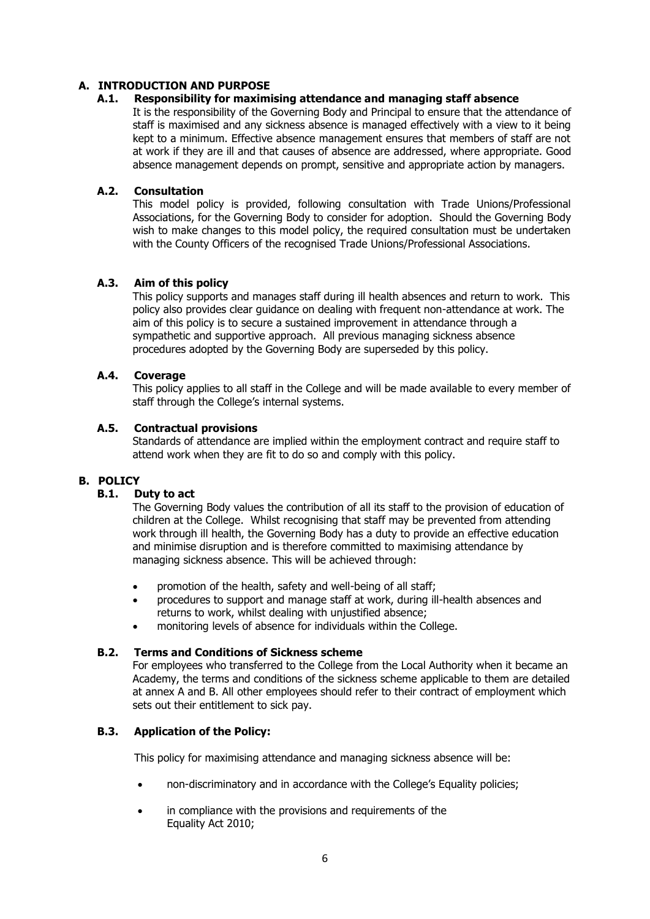# **A. INTRODUCTION AND PURPOSE**

# **A.1. Responsibility for maximising attendance and managing staff absence**

It is the responsibility of the Governing Body and Principal to ensure that the attendance of staff is maximised and any sickness absence is managed effectively with a view to it being kept to a minimum. Effective absence management ensures that members of staff are not at work if they are ill and that causes of absence are addressed, where appropriate. Good absence management depends on prompt, sensitive and appropriate action by managers.

# **A.2. Consultation**

This model policy is provided, following consultation with Trade Unions/Professional Associations, for the Governing Body to consider for adoption. Should the Governing Body wish to make changes to this model policy, the required consultation must be undertaken with the County Officers of the recognised Trade Unions/Professional Associations.

# **A.3. Aim of this policy**

This policy supports and manages staff during ill health absences and return to work. This policy also provides clear guidance on dealing with frequent non-attendance at work. The aim of this policy is to secure a sustained improvement in attendance through a sympathetic and supportive approach. All previous managing sickness absence procedures adopted by the Governing Body are superseded by this policy.

### **A.4. Coverage**

This policy applies to all staff in the College and will be made available to every member of staff through the College's internal systems.

# **A.5. Contractual provisions**

Standards of attendance are implied within the employment contract and require staff to attend work when they are fit to do so and comply with this policy.

### **B. POLICY**

### **B.1. Duty to act**

The Governing Body values the contribution of all its staff to the provision of education of children at the College. Whilst recognising that staff may be prevented from attending work through ill health, the Governing Body has a duty to provide an effective education and minimise disruption and is therefore committed to maximising attendance by managing sickness absence. This will be achieved through:

- promotion of the health, safety and well-being of all staff;
- procedures to support and manage staff at work, during ill-health absences and returns to work, whilst dealing with unjustified absence;
- monitoring levels of absence for individuals within the College.

### **B.2. Terms and Conditions of Sickness scheme**

For employees who transferred to the College from the Local Authority when it became an Academy, the terms and conditions of the sickness scheme applicable to them are detailed at annex A and B. All other employees should refer to their contract of employment which sets out their entitlement to sick pay.

### **B.3. Application of the Policy:**

This policy for maximising attendance and managing sickness absence will be:

- non-discriminatory and in accordance with the College's Equality policies;
- in compliance with the provisions and requirements of the Equality Act 2010;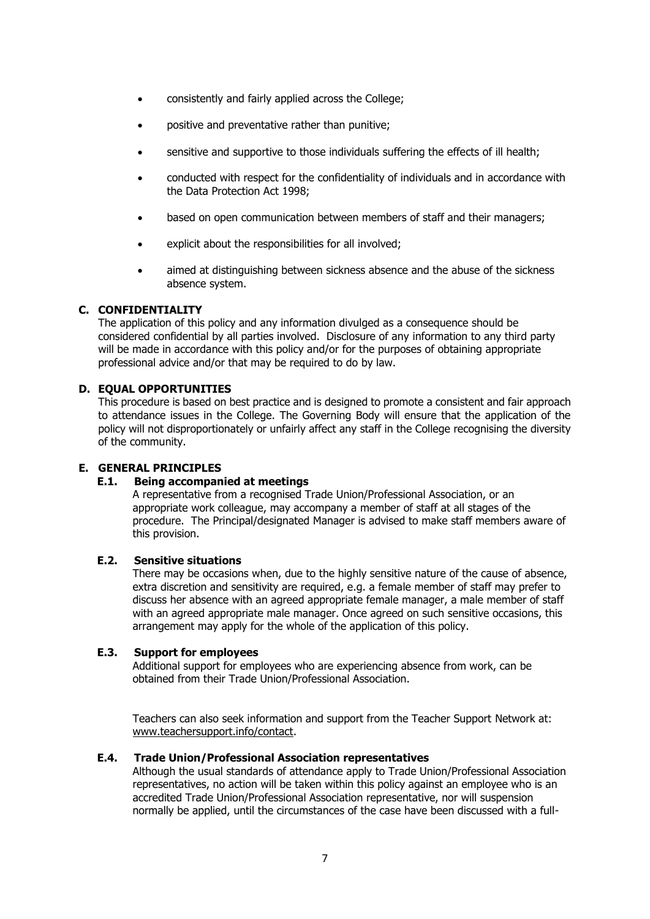- consistently and fairly applied across the College;
- positive and preventative rather than punitive;
- sensitive and supportive to those individuals suffering the effects of ill health;
- conducted with respect for the confidentiality of individuals and in accordance with the Data Protection Act 1998;
- based on open communication between members of staff and their managers;
- explicit about the responsibilities for all involved;
- aimed at distinguishing between sickness absence and the abuse of the sickness absence system.

### **C. CONFIDENTIALITY**

The application of this policy and any information divulged as a consequence should be considered confidential by all parties involved. Disclosure of any information to any third party will be made in accordance with this policy and/or for the purposes of obtaining appropriate professional advice and/or that may be required to do by law.

### **D. EQUAL OPPORTUNITIES**

This procedure is based on best practice and is designed to promote a consistent and fair approach to attendance issues in the College. The Governing Body will ensure that the application of the policy will not disproportionately or unfairly affect any staff in the College recognising the diversity of the community.

### **E. GENERAL PRINCIPLES**

### **E.1. Being accompanied at meetings**

A representative from a recognised Trade Union/Professional Association, or an appropriate work colleague, may accompany a member of staff at all stages of the procedure. The Principal/designated Manager is advised to make staff members aware of this provision.

### **E.2. Sensitive situations**

There may be occasions when, due to the highly sensitive nature of the cause of absence, extra discretion and sensitivity are required, e.g. a female member of staff may prefer to discuss her absence with an agreed appropriate female manager, a male member of staff with an agreed appropriate male manager. Once agreed on such sensitive occasions, this arrangement may apply for the whole of the application of this policy.

### **E.3. Support for employees**

Additional support for employees who are experiencing absence from work, can be obtained from their Trade Union/Professional Association.

Teachers can also seek information and support from the Teacher Support Network at: [www.teachersupport.info/contact.](http://www.teachersupport.info/contact)

### **E.4. Trade Union/Professional Association representatives**

Although the usual standards of attendance apply to Trade Union/Professional Association representatives, no action will be taken within this policy against an employee who is an accredited Trade Union/Professional Association representative, nor will suspension normally be applied, until the circumstances of the case have been discussed with a full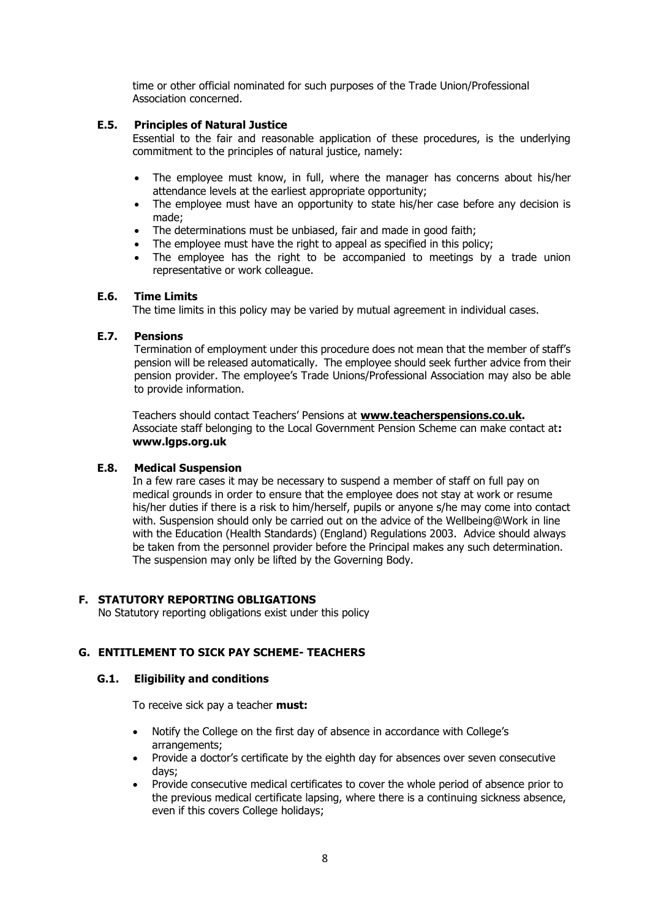time or other official nominated for such purposes of the Trade Union/Professional Association concerned.

# **E.5. Principles of Natural Justice**

Essential to the fair and reasonable application of these procedures, is the underlying commitment to the principles of natural justice, namely:

- The employee must know, in full, where the manager has concerns about his/her attendance levels at the earliest appropriate opportunity;
- The employee must have an opportunity to state his/her case before any decision is made;
- The determinations must be unbiased, fair and made in good faith;
- The employee must have the right to appeal as specified in this policy;
- The employee has the right to be accompanied to meetings by a trade union representative or work colleague.

### **E.6. Time Limits**

The time limits in this policy may be varied by mutual agreement in individual cases.

### **E.7. Pensions**

Termination of employment under this procedure does not mean that the member of staff's pension will be released automatically. The employee should seek further advice from their pension provider. The employee's Trade Unions/Professional Association may also be able to provide information.

Teachers should contact Teachers' Pensions at **[www.teacherspensions.co.uk.](http://www.teacherspensions.co.uk/)**  Associate staff belonging to the Local Government Pension Scheme can make contact at**: www.lgps.org.uk**

### **E.8. Medical Suspension**

In a few rare cases it may be necessary to suspend a member of staff on full pay on medical grounds in order to ensure that the employee does not stay at work or resume his/her duties if there is a risk to him/herself, pupils or anyone s/he may come into contact with. Suspension should only be carried out on the advice of the Wellbeing@Work in line with the Education (Health Standards) (England) Regulations 2003. Advice should always be taken from the personnel provider before the Principal makes any such determination. The suspension may only be lifted by the Governing Body.

### **F. STATUTORY REPORTING OBLIGATIONS**

No Statutory reporting obligations exist under this policy

# **G. ENTITLEMENT TO SICK PAY SCHEME- TEACHERS**

### **G.1. Eligibility and conditions**

To receive sick pay a teacher **must:**

- Notify the College on the first day of absence in accordance with College's arrangements;
- Provide a doctor's certificate by the eighth day for absences over seven consecutive days;
- Provide consecutive medical certificates to cover the whole period of absence prior to the previous medical certificate lapsing, where there is a continuing sickness absence, even if this covers College holidays;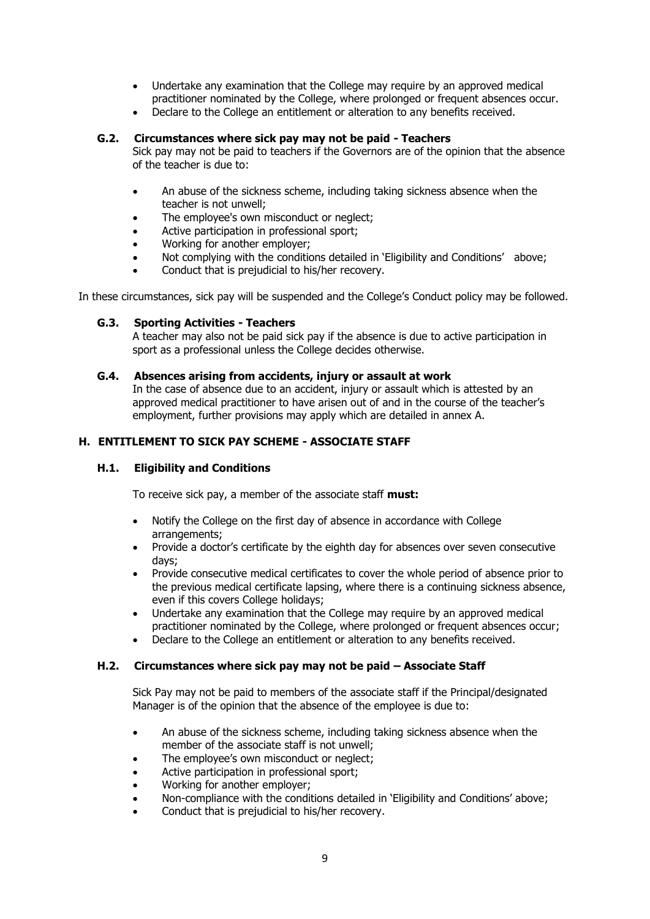- Undertake any examination that the College may require by an approved medical practitioner nominated by the College, where prolonged or frequent absences occur.
- Declare to the College an entitlement or alteration to any benefits received.

### **G.2. Circumstances where sick pay may not be paid - Teachers**

Sick pay may not be paid to teachers if the Governors are of the opinion that the absence of the teacher is due to:

- An abuse of the sickness scheme, including taking sickness absence when the teacher is not unwell;
- The employee's own misconduct or neglect;
- Active participation in professional sport;
- Working for another employer;
- Not complying with the conditions detailed in 'Eligibility and Conditions' above;
- Conduct that is prejudicial to his/her recovery.

In these circumstances, sick pay will be suspended and the College's Conduct policy may be followed.

### **G.3. Sporting Activities - Teachers**

A teacher may also not be paid sick pay if the absence is due to active participation in sport as a professional unless the College decides otherwise.

### **G.4. Absences arising from accidents, injury or assault at work**

In the case of absence due to an accident, injury or assault which is attested by an approved medical practitioner to have arisen out of and in the course of the teacher's employment, further provisions may apply which are detailed in annex A.

### **H. ENTITLEMENT TO SICK PAY SCHEME - ASSOCIATE STAFF**

### **H.1. Eligibility and Conditions**

To receive sick pay, a member of the associate staff **must:**

- Notify the College on the first day of absence in accordance with College arrangements;
- Provide a doctor's certificate by the eighth day for absences over seven consecutive days;
- Provide consecutive medical certificates to cover the whole period of absence prior to the previous medical certificate lapsing, where there is a continuing sickness absence, even if this covers College holidays;
- Undertake any examination that the College may require by an approved medical practitioner nominated by the College, where prolonged or frequent absences occur;
- Declare to the College an entitlement or alteration to any benefits received.

### **H.2. Circumstances where sick pay may not be paid – Associate Staff**

Sick Pay may not be paid to members of the associate staff if the Principal/designated Manager is of the opinion that the absence of the employee is due to:

- An abuse of the sickness scheme, including taking sickness absence when the member of the associate staff is not unwell;
- The employee's own misconduct or neglect;
- Active participation in professional sport;
- Working for another employer;
- Non-compliance with the conditions detailed in 'Eligibility and Conditions' above;
- Conduct that is prejudicial to his/her recovery.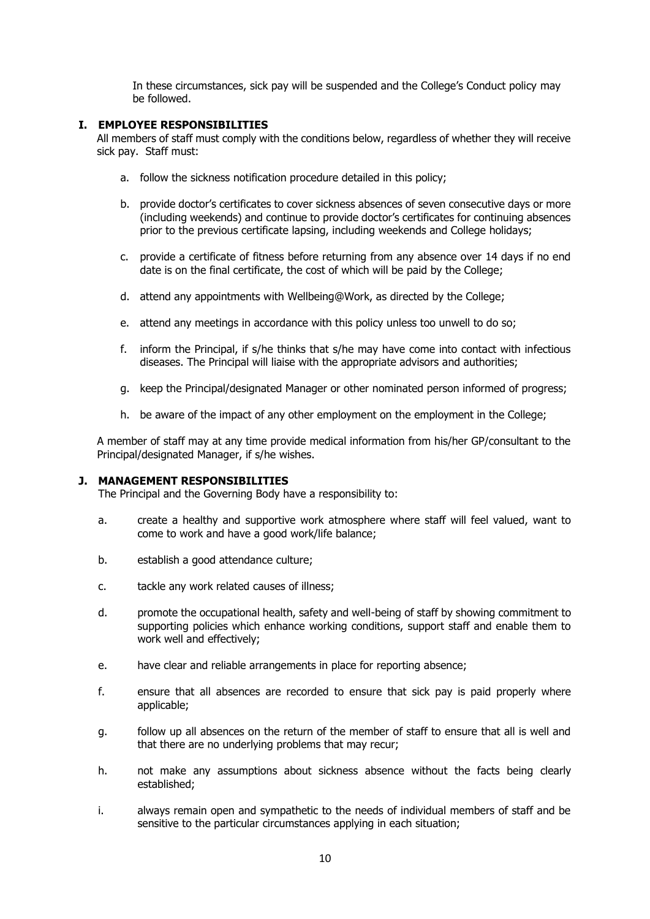In these circumstances, sick pay will be suspended and the College's Conduct policy may be followed.

# **I. EMPLOYEE RESPONSIBILITIES**

All members of staff must comply with the conditions below, regardless of whether they will receive sick pay. Staff must:

- a. follow the sickness notification procedure detailed in this policy;
- b. provide doctor's certificates to cover sickness absences of seven consecutive days or more (including weekends) and continue to provide doctor's certificates for continuing absences prior to the previous certificate lapsing, including weekends and College holidays;
- c. provide a certificate of fitness before returning from any absence over 14 days if no end date is on the final certificate, the cost of which will be paid by the College;
- d. attend any appointments with Wellbeing@Work, as directed by the College;
- e. attend any meetings in accordance with this policy unless too unwell to do so;
- f. inform the Principal, if s/he thinks that s/he may have come into contact with infectious diseases. The Principal will liaise with the appropriate advisors and authorities;
- g. keep the Principal/designated Manager or other nominated person informed of progress;
- h. be aware of the impact of any other employment on the employment in the College;

A member of staff may at any time provide medical information from his/her GP/consultant to the Principal/designated Manager, if s/he wishes.

### **J. MANAGEMENT RESPONSIBILITIES**

The Principal and the Governing Body have a responsibility to:

- a. create a healthy and supportive work atmosphere where staff will feel valued, want to come to work and have a good work/life balance;
- b. establish a good attendance culture;
- c. tackle any work related causes of illness;
- d. promote the occupational health, safety and well-being of staff by showing commitment to supporting policies which enhance working conditions, support staff and enable them to work well and effectively;
- e. have clear and reliable arrangements in place for reporting absence;
- f. ensure that all absences are recorded to ensure that sick pay is paid properly where applicable;
- g. follow up all absences on the return of the member of staff to ensure that all is well and that there are no underlying problems that may recur;
- h. not make any assumptions about sickness absence without the facts being clearly established;
- i. always remain open and sympathetic to the needs of individual members of staff and be sensitive to the particular circumstances applying in each situation;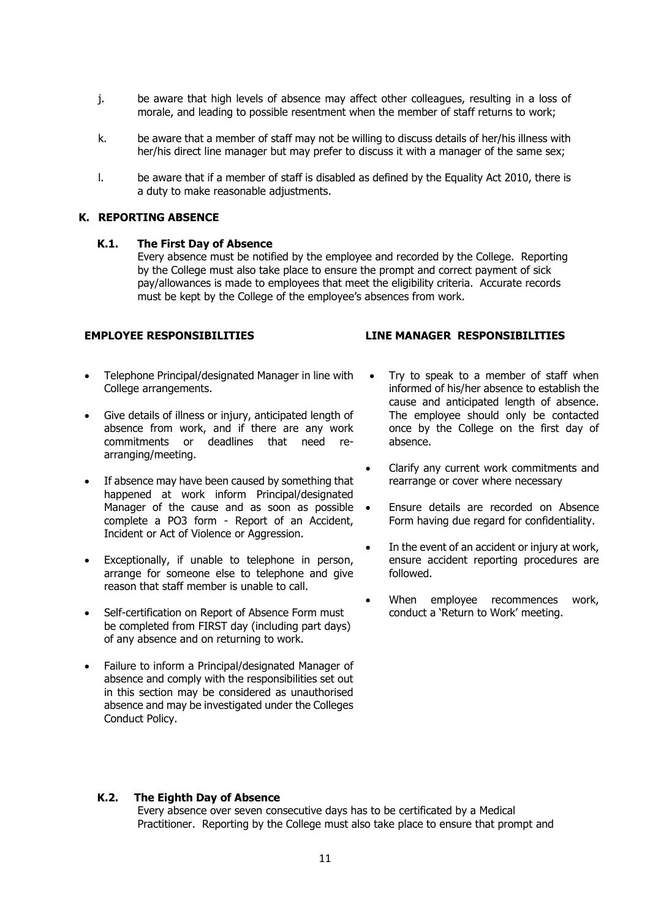- j. be aware that high levels of absence may affect other colleagues, resulting in a loss of morale, and leading to possible resentment when the member of staff returns to work;
- k. be aware that a member of staff may not be willing to discuss details of her/his illness with her/his direct line manager but may prefer to discuss it with a manager of the same sex;
- l. be aware that if a member of staff is disabled as defined by the Equality Act 2010, there is a duty to make reasonable adjustments.

### **K. REPORTING ABSENCE**

### **K.1. The First Day of Absence**

Every absence must be notified by the employee and recorded by the College. Reporting by the College must also take place to ensure the prompt and correct payment of sick pay/allowances is made to employees that meet the eligibility criteria. Accurate records must be kept by the College of the employee's absences from work.

- Telephone Principal/designated Manager in line with College arrangements.
- Give details of illness or injury, anticipated length of absence from work, and if there are any work commitments or deadlines that need rearranging/meeting.
- If absence may have been caused by something that happened at work inform Principal/designated Manager of the cause and as soon as possible  $\bullet$ complete a PO3 form - Report of an Accident, Incident or Act of Violence or Aggression.
- Exceptionally, if unable to telephone in person, arrange for someone else to telephone and give reason that staff member is unable to call.
- Self-certification on Report of Absence Form must be completed from FIRST day (including part days) of any absence and on returning to work.
- Failure to inform a Principal/designated Manager of absence and comply with the responsibilities set out in this section may be considered as unauthorised absence and may be investigated under the Colleges Conduct Policy.

### **EMPLOYEE RESPONSIBILITIES LINE MANAGER RESPONSIBILITIES**

- Try to speak to a member of staff when informed of his/her absence to establish the cause and anticipated length of absence. The employee should only be contacted once by the College on the first day of absence.
- Clarify any current work commitments and rearrange or cover where necessary
- Ensure details are recorded on Absence Form having due regard for confidentiality.
- In the event of an accident or injury at work, ensure accident reporting procedures are followed.
- When employee recommences work, conduct a 'Return to Work' meeting.

### **K.2. The Eighth Day of Absence**

Every absence over seven consecutive days has to be certificated by a Medical Practitioner. Reporting by the College must also take place to ensure that prompt and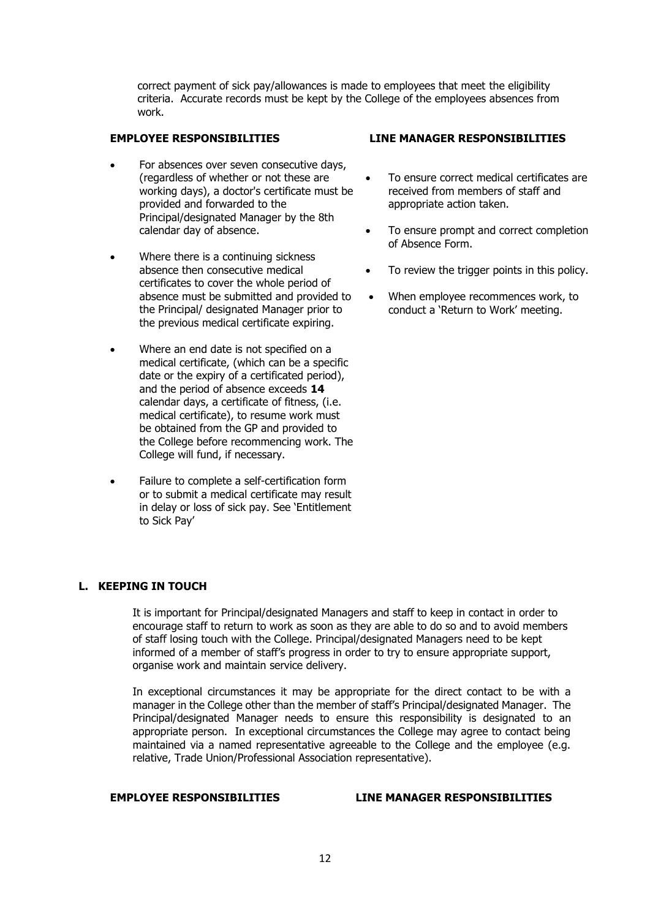correct payment of sick pay/allowances is made to employees that meet the eligibility criteria. Accurate records must be kept by the College of the employees absences from work.

- For absences over seven consecutive days, (regardless of whether or not these are working days), a doctor's certificate must be provided and forwarded to the Principal/designated Manager by the 8th calendar day of absence.
- Where there is a continuing sickness absence then consecutive medical certificates to cover the whole period of absence must be submitted and provided to the Principal/ designated Manager prior to the previous medical certificate expiring.
- Where an end date is not specified on a medical certificate, (which can be a specific date or the expiry of a certificated period), and the period of absence exceeds **14** calendar days, a certificate of fitness, (i.e. medical certificate), to resume work must be obtained from the GP and provided to the College before recommencing work. The College will fund, if necessary.
- Failure to complete a self-certification form or to submit a medical certificate may result in delay or loss of sick pay. See 'Entitlement to Sick Pay'

### **EMPLOYEE RESPONSIBILITIES LINE MANAGER RESPONSIBILITIES**

- To ensure correct medical certificates are received from members of staff and appropriate action taken.
- To ensure prompt and correct completion of Absence Form.
- To review the trigger points in this policy.
- When employee recommences work, to conduct a 'Return to Work' meeting.

# **L. KEEPING IN TOUCH**

It is important for Principal/designated Managers and staff to keep in contact in order to encourage staff to return to work as soon as they are able to do so and to avoid members of staff losing touch with the College. Principal/designated Managers need to be kept informed of a member of staff's progress in order to try to ensure appropriate support, organise work and maintain service delivery.

In exceptional circumstances it may be appropriate for the direct contact to be with a manager in the College other than the member of staff's Principal/designated Manager. The Principal/designated Manager needs to ensure this responsibility is designated to an appropriate person. In exceptional circumstances the College may agree to contact being maintained via a named representative agreeable to the College and the employee (e.g. relative, Trade Union/Professional Association representative).

### **EMPLOYEE RESPONSIBILITIES LINE MANAGER RESPONSIBILITIES**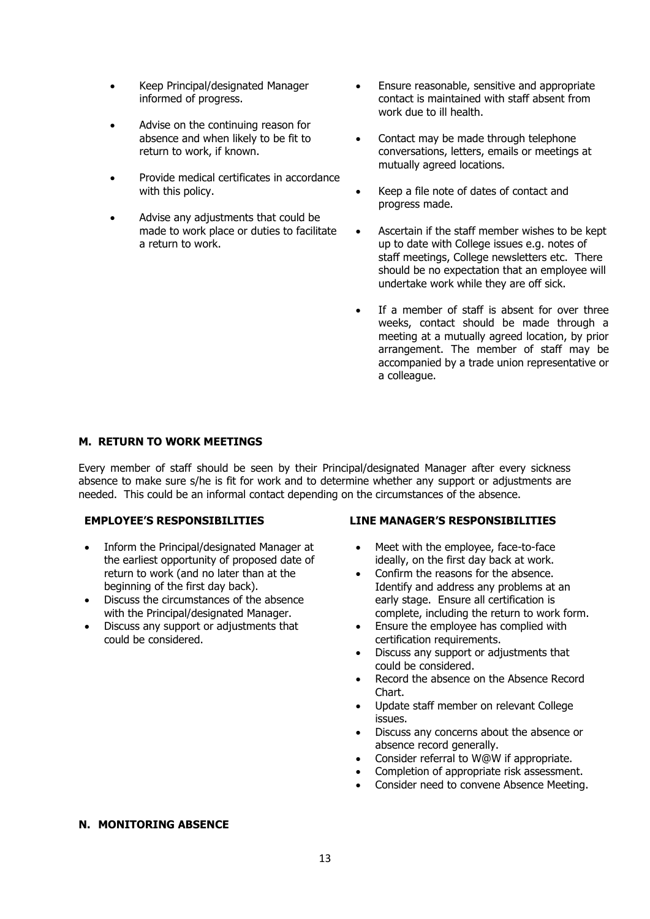- Keep Principal/designated Manager informed of progress.
- Advise on the continuing reason for absence and when likely to be fit to return to work, if known.
- Provide medical certificates in accordance with this policy.
- Advise any adjustments that could be made to work place or duties to facilitate a return to work.
- Ensure reasonable, sensitive and appropriate contact is maintained with staff absent from work due to ill health.
- Contact may be made through telephone conversations, letters, emails or meetings at mutually agreed locations.
- Keep a file note of dates of contact and progress made.
- Ascertain if the staff member wishes to be kept up to date with College issues e.g. notes of staff meetings, College newsletters etc. There should be no expectation that an employee will undertake work while they are off sick.
- If a member of staff is absent for over three weeks, contact should be made through a meeting at a mutually agreed location, by prior arrangement. The member of staff may be accompanied by a trade union representative or a colleague.

### **M. RETURN TO WORK MEETINGS**

Every member of staff should be seen by their Principal/designated Manager after every sickness absence to make sure s/he is fit for work and to determine whether any support or adjustments are needed. This could be an informal contact depending on the circumstances of the absence.

- Inform the Principal/designated Manager at the earliest opportunity of proposed date of return to work (and no later than at the beginning of the first day back).
- Discuss the circumstances of the absence with the Principal/designated Manager.
- Discuss any support or adjustments that could be considered.

### **EMPLOYEE'S RESPONSIBILITIES LINE MANAGER'S RESPONSIBILITIES**

- Meet with the employee, face-to-face ideally, on the first day back at work.
- Confirm the reasons for the absence. Identify and address any problems at an early stage. Ensure all certification is complete, including the return to work form.
- Ensure the employee has complied with certification requirements.
- Discuss any support or adjustments that could be considered.
- Record the absence on the Absence Record Chart.
- Update staff member on relevant College issues.
- Discuss any concerns about the absence or absence record generally.
- Consider referral to W@W if appropriate.
- Completion of appropriate risk assessment.
- Consider need to convene Absence Meeting.

### **N. MONITORING ABSENCE**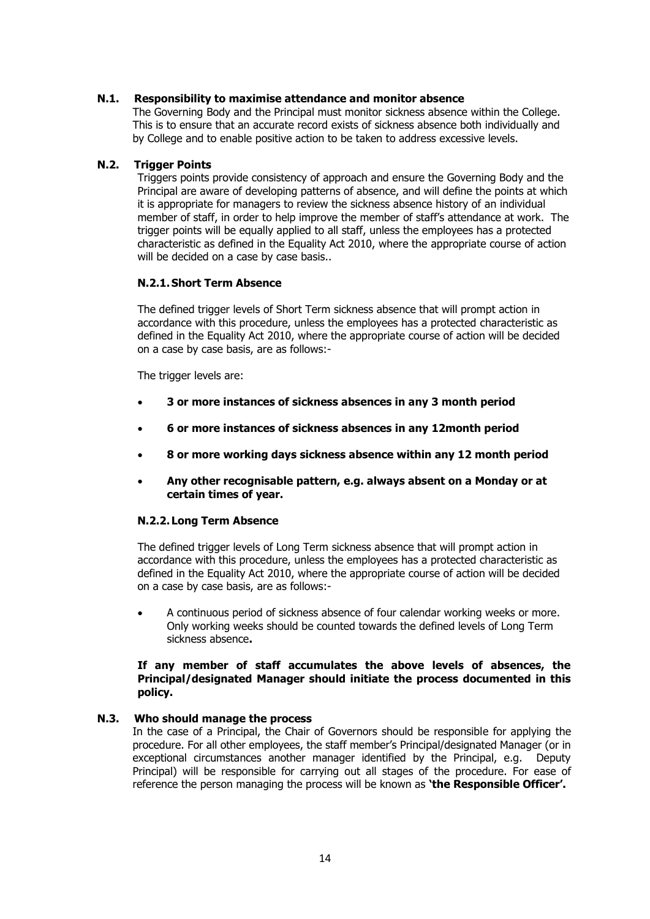### **N.1. Responsibility to maximise attendance and monitor absence**

The Governing Body and the Principal must monitor sickness absence within the College. This is to ensure that an accurate record exists of sickness absence both individually and by College and to enable positive action to be taken to address excessive levels.

### **N.2. Trigger Points**

Triggers points provide consistency of approach and ensure the Governing Body and the Principal are aware of developing patterns of absence, and will define the points at which it is appropriate for managers to review the sickness absence history of an individual member of staff, in order to help improve the member of staff's attendance at work. The trigger points will be equally applied to all staff, unless the employees has a protected characteristic as defined in the Equality Act 2010, where the appropriate course of action will be decided on a case by case basis..

# **N.2.1.Short Term Absence**

The defined trigger levels of Short Term sickness absence that will prompt action in accordance with this procedure, unless the employees has a protected characteristic as defined in the Equality Act 2010, where the appropriate course of action will be decided on a case by case basis, are as follows:-

The trigger levels are:

- **3 or more instances of sickness absences in any 3 month period**
- **6 or more instances of sickness absences in any 12month period**
- **8 or more working days sickness absence within any 12 month period**
- **Any other recognisable pattern, e.g. always absent on a Monday or at certain times of year.**

### **N.2.2. Long Term Absence**

The defined trigger levels of Long Term sickness absence that will prompt action in accordance with this procedure, unless the employees has a protected characteristic as defined in the Equality Act 2010, where the appropriate course of action will be decided on a case by case basis, are as follows:-

• A continuous period of sickness absence of four calendar working weeks or more. Only working weeks should be counted towards the defined levels of Long Term sickness absence**.**

### **If any member of staff accumulates the above levels of absences, the Principal/designated Manager should initiate the process documented in this policy.**

### **N.3. Who should manage the process**

In the case of a Principal, the Chair of Governors should be responsible for applying the procedure. For all other employees, the staff member's Principal/designated Manager (or in exceptional circumstances another manager identified by the Principal, e.g. Deputy Principal) will be responsible for carrying out all stages of the procedure. For ease of reference the person managing the process will be known as **'the Responsible Officer'.**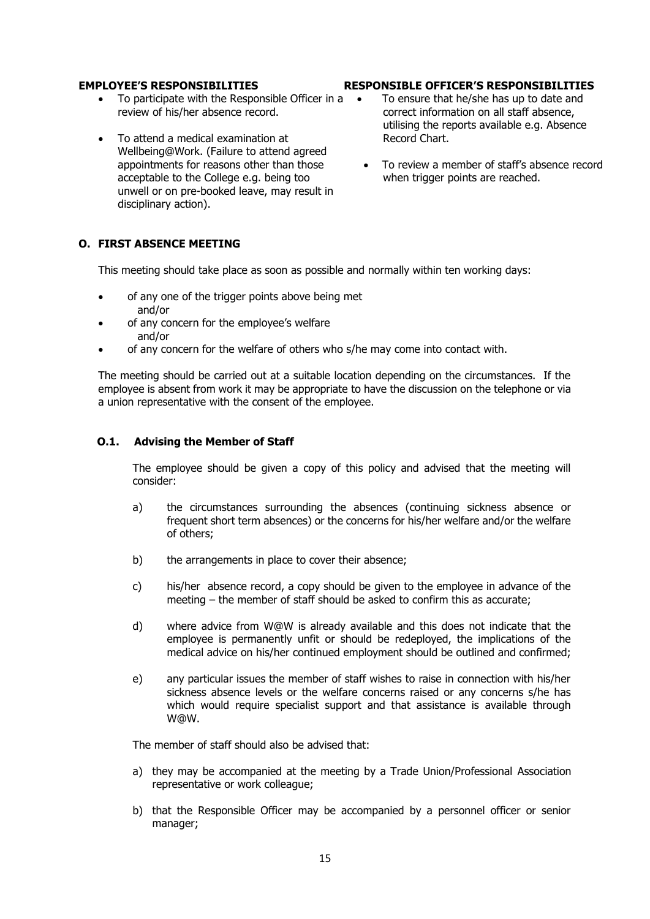- To participate with the Responsible Officer in a review of his/her absence record.
- To attend a medical examination at Wellbeing@Work. (Failure to attend agreed appointments for reasons other than those acceptable to the College e.g. being too unwell or on pre-booked leave, may result in disciplinary action).

### **EMPLOYEE'S RESPONSIBILITIES RESPONSIBLE OFFICER'S RESPONSIBILITIES**

- To ensure that he/she has up to date and correct information on all staff absence, utilising the reports available e.g. Absence Record Chart.
- To review a member of staff's absence record when trigger points are reached.

### **O. FIRST ABSENCE MEETING**

This meeting should take place as soon as possible and normally within ten working days:

- of any one of the trigger points above being met and/or
- of any concern for the employee's welfare and/or
- of any concern for the welfare of others who s/he may come into contact with.

The meeting should be carried out at a suitable location depending on the circumstances. If the employee is absent from work it may be appropriate to have the discussion on the telephone or via a union representative with the consent of the employee.

### **O.1. Advising the Member of Staff**

The employee should be given a copy of this policy and advised that the meeting will consider:

- a) the circumstances surrounding the absences (continuing sickness absence or frequent short term absences) or the concerns for his/her welfare and/or the welfare of others;
- b) the arrangements in place to cover their absence;
- c) his/her absence record, a copy should be given to the employee in advance of the meeting – the member of staff should be asked to confirm this as accurate;
- d) where advice from W@W is already available and this does not indicate that the employee is permanently unfit or should be redeployed, the implications of the medical advice on his/her continued employment should be outlined and confirmed;
- e) any particular issues the member of staff wishes to raise in connection with his/her sickness absence levels or the welfare concerns raised or any concerns s/he has which would require specialist support and that assistance is available through W@W.

The member of staff should also be advised that:

- a) they may be accompanied at the meeting by a Trade Union/Professional Association representative or work colleague;
- b) that the Responsible Officer may be accompanied by a personnel officer or senior manager;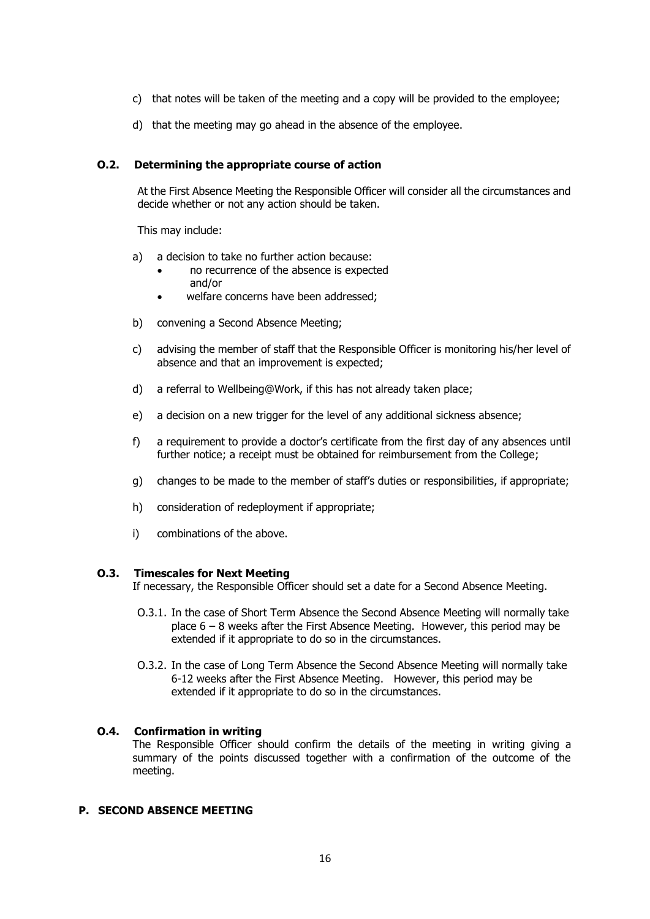- c) that notes will be taken of the meeting and a copy will be provided to the employee;
- d) that the meeting may go ahead in the absence of the employee.

### **O.2. Determining the appropriate course of action**

At the First Absence Meeting the Responsible Officer will consider all the circumstances and decide whether or not any action should be taken.

This may include:

- a) a decision to take no further action because:
	- no recurrence of the absence is expected and/or
	- welfare concerns have been addressed;
- b) convening a Second Absence Meeting;
- c) advising the member of staff that the Responsible Officer is monitoring his/her level of absence and that an improvement is expected;
- d) a referral to Wellbeing@Work, if this has not already taken place;
- e) a decision on a new trigger for the level of any additional sickness absence;
- f) a requirement to provide a doctor's certificate from the first day of any absences until further notice; a receipt must be obtained for reimbursement from the College;
- g) changes to be made to the member of staff's duties or responsibilities, if appropriate;
- h) consideration of redeployment if appropriate;
- i) combinations of the above.

### **O.3. Timescales for Next Meeting**

If necessary, the Responsible Officer should set a date for a Second Absence Meeting.

- O.3.1. In the case of Short Term Absence the Second Absence Meeting will normally take place 6 – 8 weeks after the First Absence Meeting. However, this period may be extended if it appropriate to do so in the circumstances.
- O.3.2. In the case of Long Term Absence the Second Absence Meeting will normally take 6-12 weeks after the First Absence Meeting. However, this period may be extended if it appropriate to do so in the circumstances.

### **O.4. Confirmation in writing**

The Responsible Officer should confirm the details of the meeting in writing giving a summary of the points discussed together with a confirmation of the outcome of the meeting.

# **P. SECOND ABSENCE MEETING**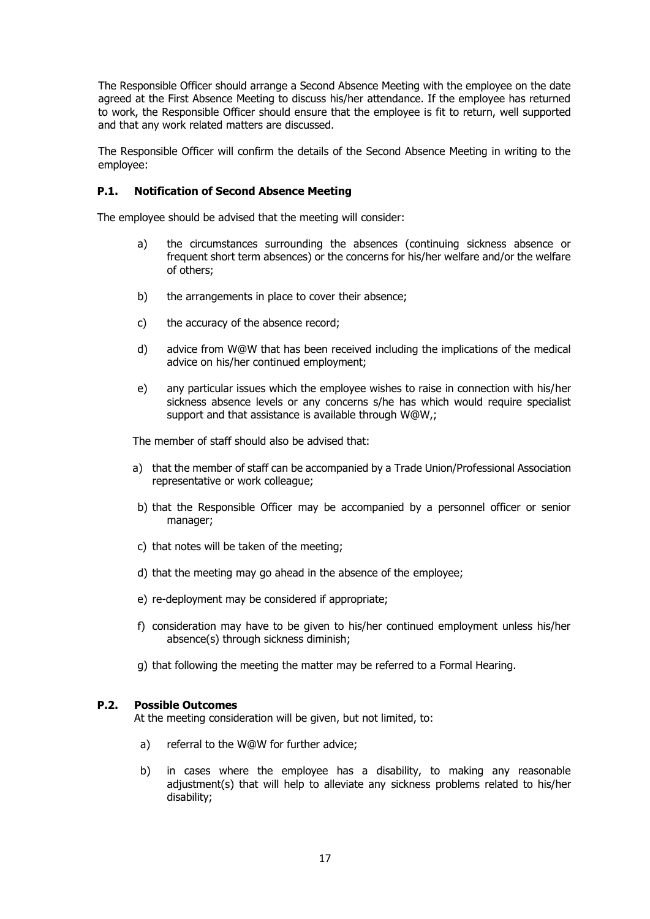The Responsible Officer should arrange a Second Absence Meeting with the employee on the date agreed at the First Absence Meeting to discuss his/her attendance. If the employee has returned to work, the Responsible Officer should ensure that the employee is fit to return, well supported and that any work related matters are discussed.

The Responsible Officer will confirm the details of the Second Absence Meeting in writing to the employee:

### **P.1. Notification of Second Absence Meeting**

The employee should be advised that the meeting will consider:

- a) the circumstances surrounding the absences (continuing sickness absence or frequent short term absences) or the concerns for his/her welfare and/or the welfare of others;
- b) the arrangements in place to cover their absence;
- c) the accuracy of the absence record;
- d) advice from W@W that has been received including the implications of the medical advice on his/her continued employment;
- e) any particular issues which the employee wishes to raise in connection with his/her sickness absence levels or any concerns s/he has which would require specialist support and that assistance is available through W@W,;

The member of staff should also be advised that:

- a) that the member of staff can be accompanied by a Trade Union/Professional Association representative or work colleague;
- b) that the Responsible Officer may be accompanied by a personnel officer or senior manager;
- c) that notes will be taken of the meeting;
- d) that the meeting may go ahead in the absence of the employee;
- e) re-deployment may be considered if appropriate;
- f) consideration may have to be given to his/her continued employment unless his/her absence(s) through sickness diminish;
- g) that following the meeting the matter may be referred to a Formal Hearing.

### **P.2. Possible Outcomes**

At the meeting consideration will be given, but not limited, to:

- a) referral to the W@W for further advice;
- b) in cases where the employee has a disability, to making any reasonable adjustment(s) that will help to alleviate any sickness problems related to his/her disability;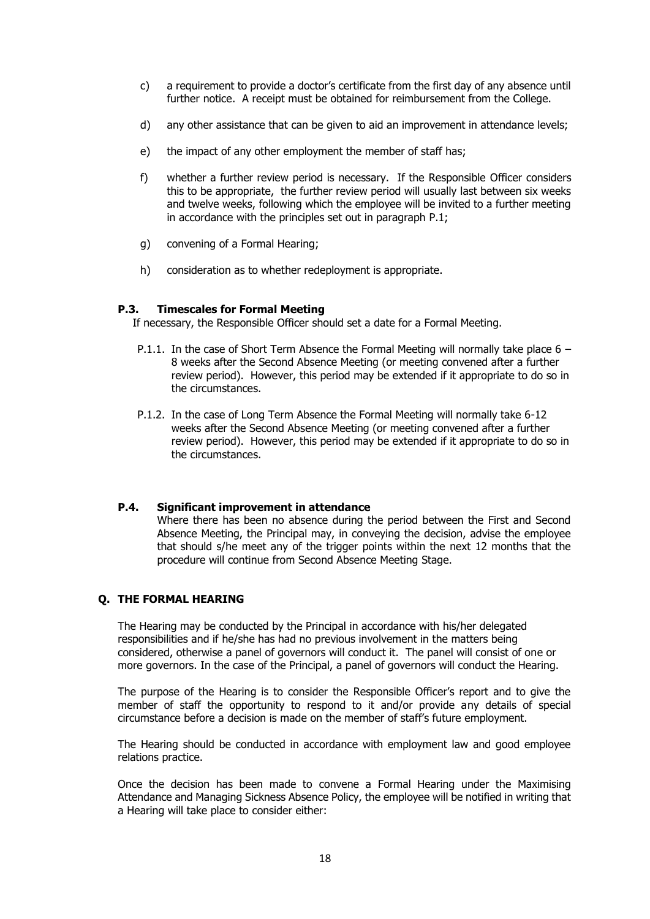- c) a requirement to provide a doctor's certificate from the first day of any absence until further notice. A receipt must be obtained for reimbursement from the College.
- d) any other assistance that can be given to aid an improvement in attendance levels;
- e) the impact of any other employment the member of staff has;
- f) whether a further review period is necessary. If the Responsible Officer considers this to be appropriate, the further review period will usually last between six weeks and twelve weeks, following which the employee will be invited to a further meeting in accordance with the principles set out in paragraph P.1;
- g) convening of a Formal Hearing;
- h) consideration as to whether redeployment is appropriate.

### **P.3. Timescales for Formal Meeting**

If necessary, the Responsible Officer should set a date for a Formal Meeting.

- P.1.1. In the case of Short Term Absence the Formal Meeting will normally take place  $6 -$ 8 weeks after the Second Absence Meeting (or meeting convened after a further review period). However, this period may be extended if it appropriate to do so in the circumstances.
- P.1.2. In the case of Long Term Absence the Formal Meeting will normally take 6-12 weeks after the Second Absence Meeting (or meeting convened after a further review period). However, this period may be extended if it appropriate to do so in the circumstances.

### **P.4. Significant improvement in attendance**

Where there has been no absence during the period between the First and Second Absence Meeting, the Principal may, in conveying the decision, advise the employee that should s/he meet any of the trigger points within the next 12 months that the procedure will continue from Second Absence Meeting Stage.

### **Q. THE FORMAL HEARING**

The Hearing may be conducted by the Principal in accordance with his/her delegated responsibilities and if he/she has had no previous involvement in the matters being considered, otherwise a panel of governors will conduct it. The panel will consist of one or more governors. In the case of the Principal, a panel of governors will conduct the Hearing.

The purpose of the Hearing is to consider the Responsible Officer's report and to give the member of staff the opportunity to respond to it and/or provide any details of special circumstance before a decision is made on the member of staff's future employment.

The Hearing should be conducted in accordance with employment law and good employee relations practice.

Once the decision has been made to convene a Formal Hearing under the Maximising Attendance and Managing Sickness Absence Policy, the employee will be notified in writing that a Hearing will take place to consider either: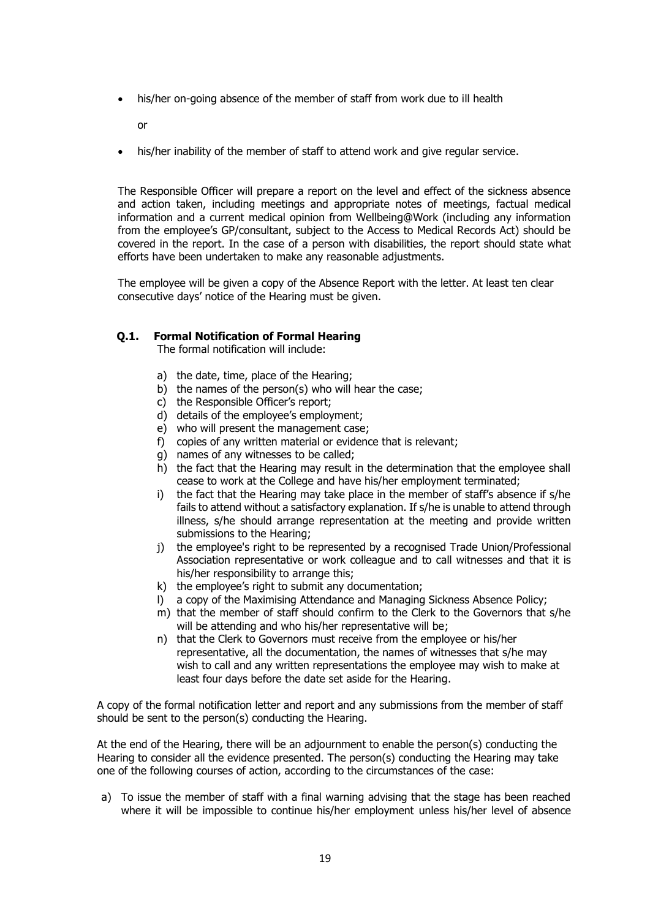his/her on-going absence of the member of staff from work due to ill health

or

his/her inability of the member of staff to attend work and give regular service.

The Responsible Officer will prepare a report on the level and effect of the sickness absence and action taken, including meetings and appropriate notes of meetings, factual medical information and a current medical opinion from Wellbeing@Work (including any information from the employee's GP/consultant, subject to the Access to Medical Records Act) should be covered in the report. In the case of a person with disabilities, the report should state what efforts have been undertaken to make any reasonable adjustments.

The employee will be given a copy of the Absence Report with the letter. At least ten clear consecutive days' notice of the Hearing must be given.

### **Q.1. Formal Notification of Formal Hearing**

The formal notification will include:

- a) the date, time, place of the Hearing;
- b) the names of the person(s) who will hear the case;
- c) the Responsible Officer's report;
- d) details of the employee's employment;
- e) who will present the management case;
- f) copies of any written material or evidence that is relevant;
- g) names of any witnesses to be called;
- h) the fact that the Hearing may result in the determination that the employee shall cease to work at the College and have his/her employment terminated;
- i) the fact that the Hearing may take place in the member of staff's absence if s/he fails to attend without a satisfactory explanation. If s/he is unable to attend through illness, s/he should arrange representation at the meeting and provide written submissions to the Hearing;
- j) the employee's right to be represented by a recognised Trade Union/Professional Association representative or work colleague and to call witnesses and that it is his/her responsibility to arrange this:
- k) the employee's right to submit any documentation;
- l) a copy of the Maximising Attendance and Managing Sickness Absence Policy;
- m) that the member of staff should confirm to the Clerk to the Governors that s/he will be attending and who his/her representative will be;
- n) that the Clerk to Governors must receive from the employee or his/her representative, all the documentation, the names of witnesses that s/he may wish to call and any written representations the employee may wish to make at least four days before the date set aside for the Hearing.

A copy of the formal notification letter and report and any submissions from the member of staff should be sent to the person(s) conducting the Hearing.

At the end of the Hearing, there will be an adjournment to enable the person(s) conducting the Hearing to consider all the evidence presented. The person(s) conducting the Hearing may take one of the following courses of action, according to the circumstances of the case:

a) To issue the member of staff with a final warning advising that the stage has been reached where it will be impossible to continue his/her employment unless his/her level of absence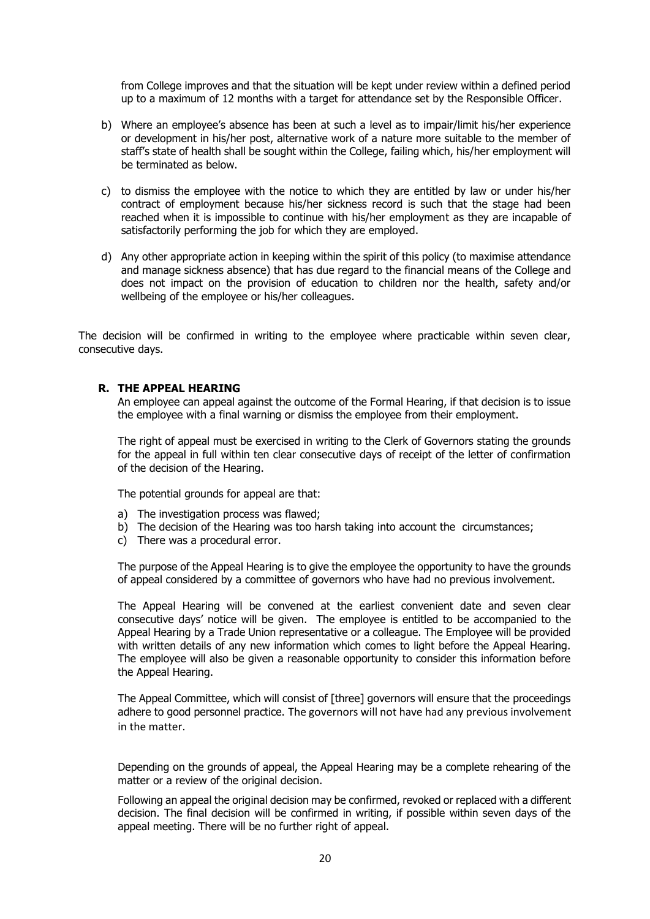from College improves and that the situation will be kept under review within a defined period up to a maximum of 12 months with a target for attendance set by the Responsible Officer.

- b) Where an employee's absence has been at such a level as to impair/limit his/her experience or development in his/her post, alternative work of a nature more suitable to the member of staff's state of health shall be sought within the College, failing which, his/her employment will be terminated as below.
- c) to dismiss the employee with the notice to which they are entitled by law or under his/her contract of employment because his/her sickness record is such that the stage had been reached when it is impossible to continue with his/her employment as they are incapable of satisfactorily performing the job for which they are employed.
- d) Any other appropriate action in keeping within the spirit of this policy (to maximise attendance and manage sickness absence) that has due regard to the financial means of the College and does not impact on the provision of education to children nor the health, safety and/or wellbeing of the employee or his/her colleagues.

The decision will be confirmed in writing to the employee where practicable within seven clear, consecutive days.

### **R. THE APPEAL HEARING**

An employee can appeal against the outcome of the Formal Hearing, if that decision is to issue the employee with a final warning or dismiss the employee from their employment.

The right of appeal must be exercised in writing to the Clerk of Governors stating the grounds for the appeal in full within ten clear consecutive days of receipt of the letter of confirmation of the decision of the Hearing.

The potential grounds for appeal are that:

- a) The investigation process was flawed;
- b) The decision of the Hearing was too harsh taking into account the circumstances;
- c) There was a procedural error.

The purpose of the Appeal Hearing is to give the employee the opportunity to have the grounds of appeal considered by a committee of governors who have had no previous involvement.

The Appeal Hearing will be convened at the earliest convenient date and seven clear consecutive days' notice will be given. The employee is entitled to be accompanied to the Appeal Hearing by a Trade Union representative or a colleague. The Employee will be provided with written details of any new information which comes to light before the Appeal Hearing. The employee will also be given a reasonable opportunity to consider this information before the Appeal Hearing.

The Appeal Committee, which will consist of [three] governors will ensure that the proceedings adhere to good personnel practice. The governors will not have had any previous involvement in the matter.

Depending on the grounds of appeal, the Appeal Hearing may be a complete rehearing of the matter or a review of the original decision.

Following an appeal the original decision may be confirmed, revoked or replaced with a different decision. The final decision will be confirmed in writing, if possible within seven days of the appeal meeting. There will be no further right of appeal.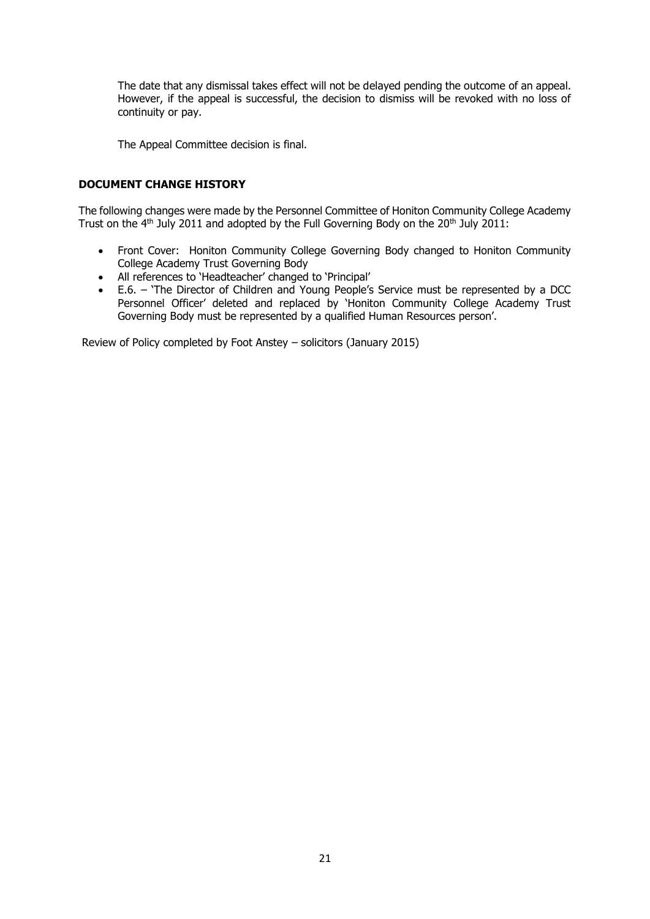The date that any dismissal takes effect will not be delayed pending the outcome of an appeal. However, if the appeal is successful, the decision to dismiss will be revoked with no loss of continuity or pay.

The Appeal Committee decision is final.

### **DOCUMENT CHANGE HISTORY**

The following changes were made by the Personnel Committee of Honiton Community College Academy Trust on the  $4<sup>th</sup>$  July 2011 and adopted by the Full Governing Body on the 20<sup>th</sup> July 2011:

- Front Cover: Honiton Community College Governing Body changed to Honiton Community College Academy Trust Governing Body
- All references to 'Headteacher' changed to 'Principal'
- E.6. 'The Director of Children and Young People's Service must be represented by a DCC Personnel Officer' deleted and replaced by 'Honiton Community College Academy Trust Governing Body must be represented by a qualified Human Resources person'.

Review of Policy completed by Foot Anstey – solicitors (January 2015)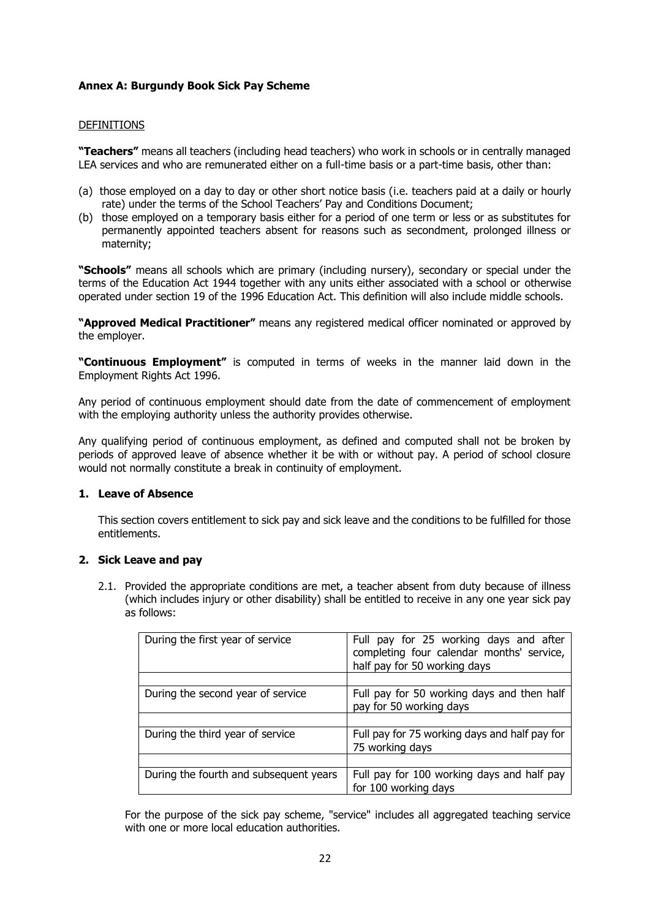### **Annex A: Burgundy Book Sick Pay Scheme**

### DEFINITIONS

**"Teachers"** means all teachers (including head teachers) who work in schools or in centrally managed LEA services and who are remunerated either on a full-time basis or a part-time basis, other than:

- (a) those employed on a day to day or other short notice basis (i.e. teachers paid at a daily or hourly rate) under the terms of the School Teachers' Pay and Conditions Document;
- (b) those employed on a temporary basis either for a period of one term or less or as substitutes for permanently appointed teachers absent for reasons such as secondment, prolonged illness or maternity;

**"Schools"** means all schools which are primary (including nursery), secondary or special under the terms of the Education Act 1944 together with any units either associated with a school or otherwise operated under section 19 of the 1996 Education Act. This definition will also include middle schools.

**"Approved Medical Practitioner"** means any registered medical officer nominated or approved by the employer.

**"Continuous Employment"** is computed in terms of weeks in the manner laid down in the Employment Rights Act 1996.

Any period of continuous employment should date from the date of commencement of employment with the employing authority unless the authority provides otherwise.

Any qualifying period of continuous employment, as defined and computed shall not be broken by periods of approved leave of absence whether it be with or without pay. A period of school closure would not normally constitute a break in continuity of employment.

### **1. Leave of Absence**

This section covers entitlement to sick pay and sick leave and the conditions to be fulfilled for those entitlements.

### **2. Sick Leave and pay**

2.1. Provided the appropriate conditions are met, a teacher absent from duty because of illness (which includes injury or other disability) shall be entitled to receive in any one year sick pay as follows:

| During the first year of service       | Full pay for 25 working days and after<br>completing four calendar months' service,<br>half pay for 50 working days |
|----------------------------------------|---------------------------------------------------------------------------------------------------------------------|
|                                        |                                                                                                                     |
| During the second year of service      | Full pay for 50 working days and then half<br>pay for 50 working days                                               |
|                                        |                                                                                                                     |
| During the third year of service       | Full pay for 75 working days and half pay for<br>75 working days                                                    |
|                                        |                                                                                                                     |
| During the fourth and subsequent years | Full pay for 100 working days and half pay<br>for 100 working days                                                  |

For the purpose of the sick pay scheme, "service" includes all aggregated teaching service with one or more local education authorities.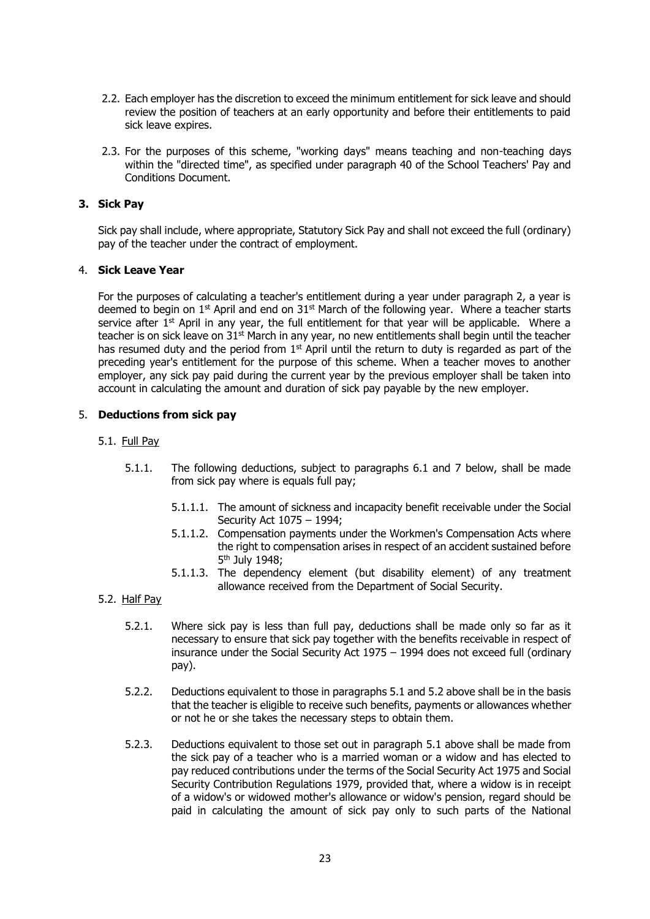- 2.2. Each employer has the discretion to exceed the minimum entitlement for sick leave and should review the position of teachers at an early opportunity and before their entitlements to paid sick leave expires.
- 2.3. For the purposes of this scheme, "working days" means teaching and non-teaching days within the "directed time", as specified under paragraph 40 of the School Teachers' Pay and Conditions Document.

### **3. Sick Pay**

Sick pay shall include, where appropriate, Statutory Sick Pay and shall not exceed the full (ordinary) pay of the teacher under the contract of employment.

### 4. **Sick Leave Year**

For the purposes of calculating a teacher's entitlement during a year under paragraph 2, a year is deemed to begin on 1<sup>st</sup> April and end on 31<sup>st</sup> March of the following year. Where a teacher starts service after  $1<sup>st</sup>$  April in any year, the full entitlement for that year will be applicable. Where a teacher is on sick leave on 31<sup>st</sup> March in any year, no new entitlements shall begin until the teacher has resumed duty and the period from  $1<sup>st</sup>$  April until the return to duty is regarded as part of the preceding year's entitlement for the purpose of this scheme. When a teacher moves to another employer, any sick pay paid during the current year by the previous employer shall be taken into account in calculating the amount and duration of sick pay payable by the new employer.

### 5. **Deductions from sick pay**

### 5.1. Full Pay

- 5.1.1. The following deductions, subject to paragraphs 6.1 and 7 below, shall be made from sick pay where is equals full pay;
	- 5.1.1.1. The amount of sickness and incapacity benefit receivable under the Social Security Act 1075 – 1994;
	- 5.1.1.2. Compensation payments under the Workmen's Compensation Acts where the right to compensation arises in respect of an accident sustained before 5 th July 1948;
	- 5.1.1.3. The dependency element (but disability element) of any treatment allowance received from the Department of Social Security.

### 5.2. Half Pay

- 5.2.1. Where sick pay is less than full pay, deductions shall be made only so far as it necessary to ensure that sick pay together with the benefits receivable in respect of insurance under the Social Security Act 1975 – 1994 does not exceed full (ordinary pay).
- 5.2.2. Deductions equivalent to those in paragraphs 5.1 and 5.2 above shall be in the basis that the teacher is eligible to receive such benefits, payments or allowances whether or not he or she takes the necessary steps to obtain them.
- 5.2.3. Deductions equivalent to those set out in paragraph 5.1 above shall be made from the sick pay of a teacher who is a married woman or a widow and has elected to pay reduced contributions under the terms of the Social Security Act 1975 and Social Security Contribution Regulations 1979, provided that, where a widow is in receipt of a widow's or widowed mother's allowance or widow's pension, regard should be paid in calculating the amount of sick pay only to such parts of the National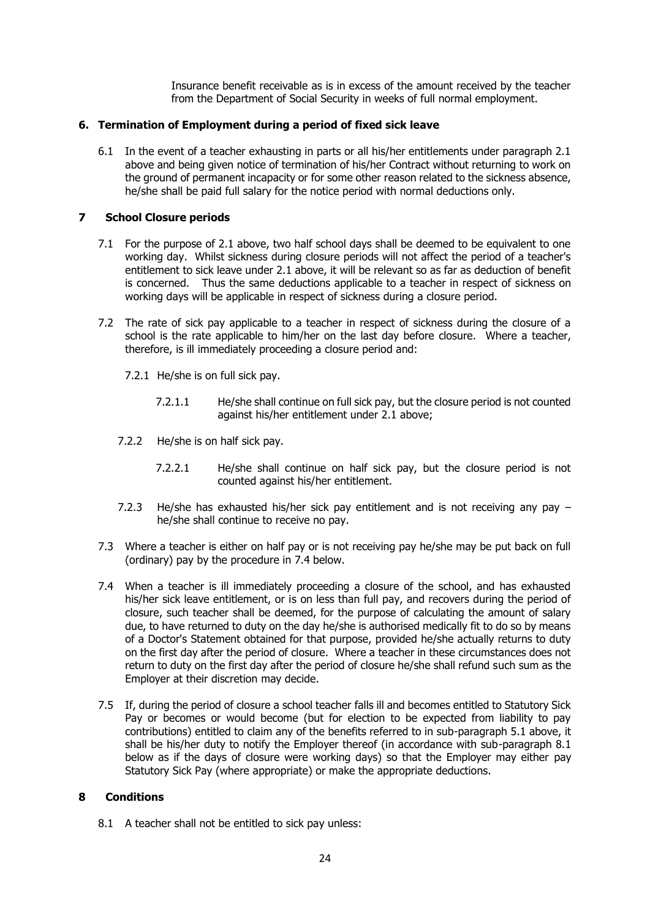Insurance benefit receivable as is in excess of the amount received by the teacher from the Department of Social Security in weeks of full normal employment.

### **6. Termination of Employment during a period of fixed sick leave**

6.1 In the event of a teacher exhausting in parts or all his/her entitlements under paragraph 2.1 above and being given notice of termination of his/her Contract without returning to work on the ground of permanent incapacity or for some other reason related to the sickness absence, he/she shall be paid full salary for the notice period with normal deductions only.

### **7 School Closure periods**

- 7.1 For the purpose of 2.1 above, two half school days shall be deemed to be equivalent to one working day. Whilst sickness during closure periods will not affect the period of a teacher's entitlement to sick leave under 2.1 above, it will be relevant so as far as deduction of benefit is concerned. Thus the same deductions applicable to a teacher in respect of sickness on working days will be applicable in respect of sickness during a closure period.
- 7.2 The rate of sick pay applicable to a teacher in respect of sickness during the closure of a school is the rate applicable to him/her on the last day before closure. Where a teacher, therefore, is ill immediately proceeding a closure period and:
	- 7.2.1 He/she is on full sick pay.
		- 7.2.1.1 He/she shall continue on full sick pay, but the closure period is not counted against his/her entitlement under 2.1 above;
	- 7.2.2 He/she is on half sick pay.
		- 7.2.2.1 He/she shall continue on half sick pay, but the closure period is not counted against his/her entitlement.
	- 7.2.3 He/she has exhausted his/her sick pay entitlement and is not receiving any pay he/she shall continue to receive no pay.
- 7.3 Where a teacher is either on half pay or is not receiving pay he/she may be put back on full (ordinary) pay by the procedure in 7.4 below.
- 7.4 When a teacher is ill immediately proceeding a closure of the school, and has exhausted his/her sick leave entitlement, or is on less than full pay, and recovers during the period of closure, such teacher shall be deemed, for the purpose of calculating the amount of salary due, to have returned to duty on the day he/she is authorised medically fit to do so by means of a Doctor's Statement obtained for that purpose, provided he/she actually returns to duty on the first day after the period of closure. Where a teacher in these circumstances does not return to duty on the first day after the period of closure he/she shall refund such sum as the Employer at their discretion may decide.
- 7.5 If, during the period of closure a school teacher falls ill and becomes entitled to Statutory Sick Pay or becomes or would become (but for election to be expected from liability to pay contributions) entitled to claim any of the benefits referred to in sub-paragraph 5.1 above, it shall be his/her duty to notify the Employer thereof (in accordance with sub-paragraph 8.1 below as if the days of closure were working days) so that the Employer may either pay Statutory Sick Pay (where appropriate) or make the appropriate deductions.

### **8 Conditions**

8.1 A teacher shall not be entitled to sick pay unless: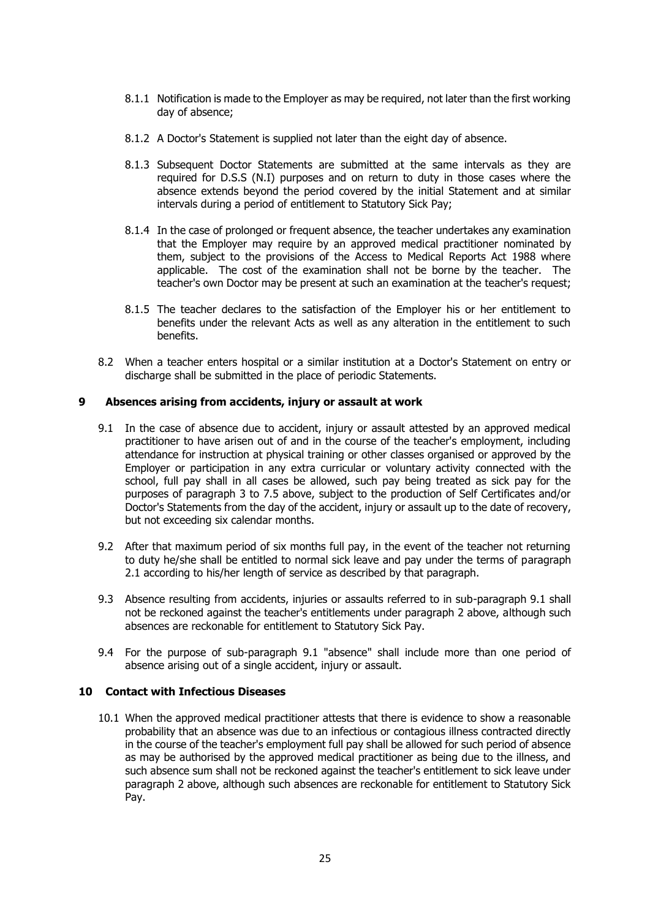- 8.1.1 Notification is made to the Employer as may be required, not later than the first working day of absence;
- 8.1.2 A Doctor's Statement is supplied not later than the eight day of absence.
- 8.1.3 Subsequent Doctor Statements are submitted at the same intervals as they are required for D.S.S (N.I) purposes and on return to duty in those cases where the absence extends beyond the period covered by the initial Statement and at similar intervals during a period of entitlement to Statutory Sick Pay;
- 8.1.4 In the case of prolonged or frequent absence, the teacher undertakes any examination that the Employer may require by an approved medical practitioner nominated by them, subject to the provisions of the Access to Medical Reports Act 1988 where applicable. The cost of the examination shall not be borne by the teacher. The teacher's own Doctor may be present at such an examination at the teacher's request;
- 8.1.5 The teacher declares to the satisfaction of the Employer his or her entitlement to benefits under the relevant Acts as well as any alteration in the entitlement to such benefits.
- 8.2 When a teacher enters hospital or a similar institution at a Doctor's Statement on entry or discharge shall be submitted in the place of periodic Statements.

### **9 Absences arising from accidents, injury or assault at work**

- 9.1 In the case of absence due to accident, injury or assault attested by an approved medical practitioner to have arisen out of and in the course of the teacher's employment, including attendance for instruction at physical training or other classes organised or approved by the Employer or participation in any extra curricular or voluntary activity connected with the school, full pay shall in all cases be allowed, such pay being treated as sick pay for the purposes of paragraph 3 to 7.5 above, subject to the production of Self Certificates and/or Doctor's Statements from the day of the accident, injury or assault up to the date of recovery, but not exceeding six calendar months.
- 9.2 After that maximum period of six months full pay, in the event of the teacher not returning to duty he/she shall be entitled to normal sick leave and pay under the terms of paragraph 2.1 according to his/her length of service as described by that paragraph.
- 9.3 Absence resulting from accidents, injuries or assaults referred to in sub-paragraph 9.1 shall not be reckoned against the teacher's entitlements under paragraph 2 above, although such absences are reckonable for entitlement to Statutory Sick Pay.
- 9.4 For the purpose of sub-paragraph 9.1 "absence" shall include more than one period of absence arising out of a single accident, injury or assault.

### **10 Contact with Infectious Diseases**

10.1 When the approved medical practitioner attests that there is evidence to show a reasonable probability that an absence was due to an infectious or contagious illness contracted directly in the course of the teacher's employment full pay shall be allowed for such period of absence as may be authorised by the approved medical practitioner as being due to the illness, and such absence sum shall not be reckoned against the teacher's entitlement to sick leave under paragraph 2 above, although such absences are reckonable for entitlement to Statutory Sick Pay.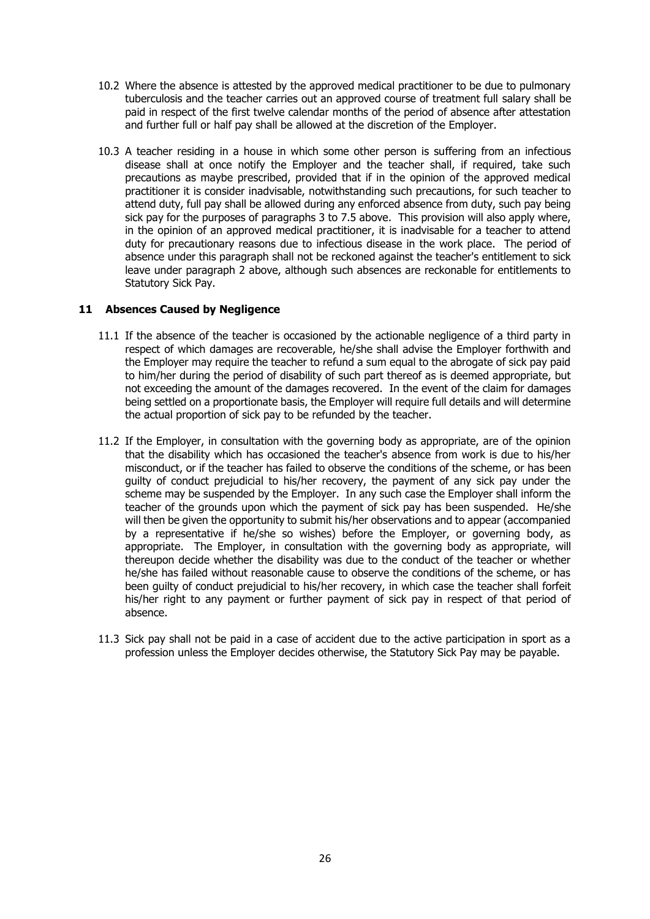- 10.2 Where the absence is attested by the approved medical practitioner to be due to pulmonary tuberculosis and the teacher carries out an approved course of treatment full salary shall be paid in respect of the first twelve calendar months of the period of absence after attestation and further full or half pay shall be allowed at the discretion of the Employer.
- 10.3 A teacher residing in a house in which some other person is suffering from an infectious disease shall at once notify the Employer and the teacher shall, if required, take such precautions as maybe prescribed, provided that if in the opinion of the approved medical practitioner it is consider inadvisable, notwithstanding such precautions, for such teacher to attend duty, full pay shall be allowed during any enforced absence from duty, such pay being sick pay for the purposes of paragraphs 3 to 7.5 above. This provision will also apply where, in the opinion of an approved medical practitioner, it is inadvisable for a teacher to attend duty for precautionary reasons due to infectious disease in the work place. The period of absence under this paragraph shall not be reckoned against the teacher's entitlement to sick leave under paragraph 2 above, although such absences are reckonable for entitlements to Statutory Sick Pay.

### **11 Absences Caused by Negligence**

- 11.1 If the absence of the teacher is occasioned by the actionable negligence of a third party in respect of which damages are recoverable, he/she shall advise the Employer forthwith and the Employer may require the teacher to refund a sum equal to the abrogate of sick pay paid to him/her during the period of disability of such part thereof as is deemed appropriate, but not exceeding the amount of the damages recovered. In the event of the claim for damages being settled on a proportionate basis, the Employer will require full details and will determine the actual proportion of sick pay to be refunded by the teacher.
- 11.2 If the Employer, in consultation with the governing body as appropriate, are of the opinion that the disability which has occasioned the teacher's absence from work is due to his/her misconduct, or if the teacher has failed to observe the conditions of the scheme, or has been guilty of conduct prejudicial to his/her recovery, the payment of any sick pay under the scheme may be suspended by the Employer. In any such case the Employer shall inform the teacher of the grounds upon which the payment of sick pay has been suspended. He/she will then be given the opportunity to submit his/her observations and to appear (accompanied by a representative if he/she so wishes) before the Employer, or governing body, as appropriate. The Employer, in consultation with the governing body as appropriate, will thereupon decide whether the disability was due to the conduct of the teacher or whether he/she has failed without reasonable cause to observe the conditions of the scheme, or has been guilty of conduct prejudicial to his/her recovery, in which case the teacher shall forfeit his/her right to any payment or further payment of sick pay in respect of that period of absence.
- 11.3 Sick pay shall not be paid in a case of accident due to the active participation in sport as a profession unless the Employer decides otherwise, the Statutory Sick Pay may be payable.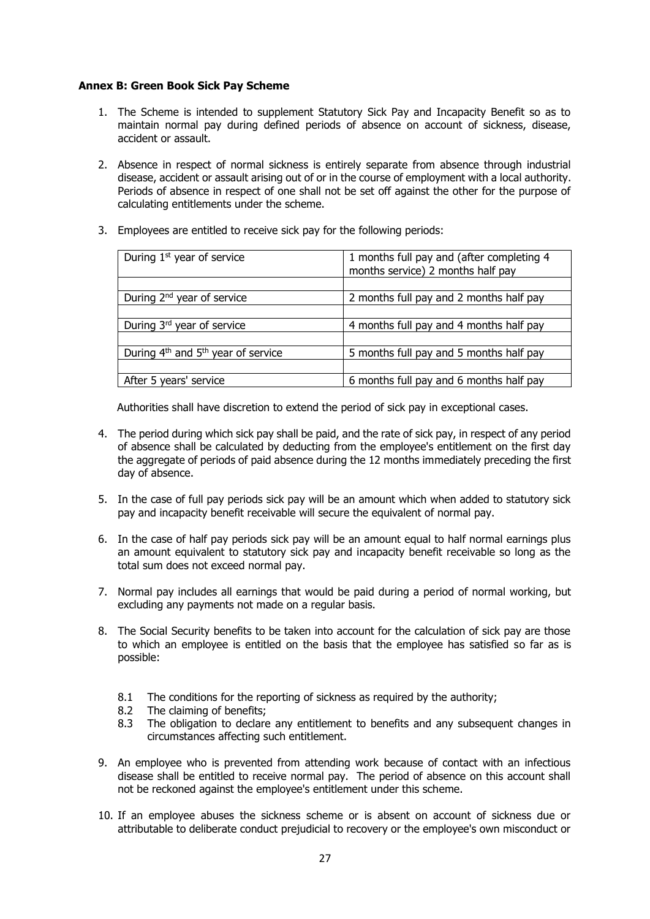### **Annex B: Green Book Sick Pay Scheme**

- 1. The Scheme is intended to supplement Statutory Sick Pay and Incapacity Benefit so as to maintain normal pay during defined periods of absence on account of sickness, disease, accident or assault.
- 2. Absence in respect of normal sickness is entirely separate from absence through industrial disease, accident or assault arising out of or in the course of employment with a local authority. Periods of absence in respect of one shall not be set off against the other for the purpose of calculating entitlements under the scheme.
- 3. Employees are entitled to receive sick pay for the following periods:

| During 1 <sup>st</sup> year of service                     | 1 months full pay and (after completing 4<br>months service) 2 months half pay |
|------------------------------------------------------------|--------------------------------------------------------------------------------|
|                                                            |                                                                                |
| During $2^{nd}$ year of service                            | 2 months full pay and 2 months half pay                                        |
|                                                            |                                                                                |
| During 3rd year of service                                 | 4 months full pay and 4 months half pay                                        |
|                                                            |                                                                                |
| During 4 <sup>th</sup> and 5 <sup>th</sup> year of service | 5 months full pay and 5 months half pay                                        |
|                                                            |                                                                                |
| After 5 years' service                                     | 6 months full pay and 6 months half pay                                        |
|                                                            |                                                                                |

Authorities shall have discretion to extend the period of sick pay in exceptional cases.

- 4. The period during which sick pay shall be paid, and the rate of sick pay, in respect of any period of absence shall be calculated by deducting from the employee's entitlement on the first day the aggregate of periods of paid absence during the 12 months immediately preceding the first day of absence.
- 5. In the case of full pay periods sick pay will be an amount which when added to statutory sick pay and incapacity benefit receivable will secure the equivalent of normal pay.
- 6. In the case of half pay periods sick pay will be an amount equal to half normal earnings plus an amount equivalent to statutory sick pay and incapacity benefit receivable so long as the total sum does not exceed normal pay.
- 7. Normal pay includes all earnings that would be paid during a period of normal working, but excluding any payments not made on a regular basis.
- 8. The Social Security benefits to be taken into account for the calculation of sick pay are those to which an employee is entitled on the basis that the employee has satisfied so far as is possible:
	- 8.1 The conditions for the reporting of sickness as required by the authority;
	- 8.2 The claiming of benefits;
	- 8.3 The obligation to declare any entitlement to benefits and any subsequent changes in circumstances affecting such entitlement.
- 9. An employee who is prevented from attending work because of contact with an infectious disease shall be entitled to receive normal pay. The period of absence on this account shall not be reckoned against the employee's entitlement under this scheme.
- 10. If an employee abuses the sickness scheme or is absent on account of sickness due or attributable to deliberate conduct prejudicial to recovery or the employee's own misconduct or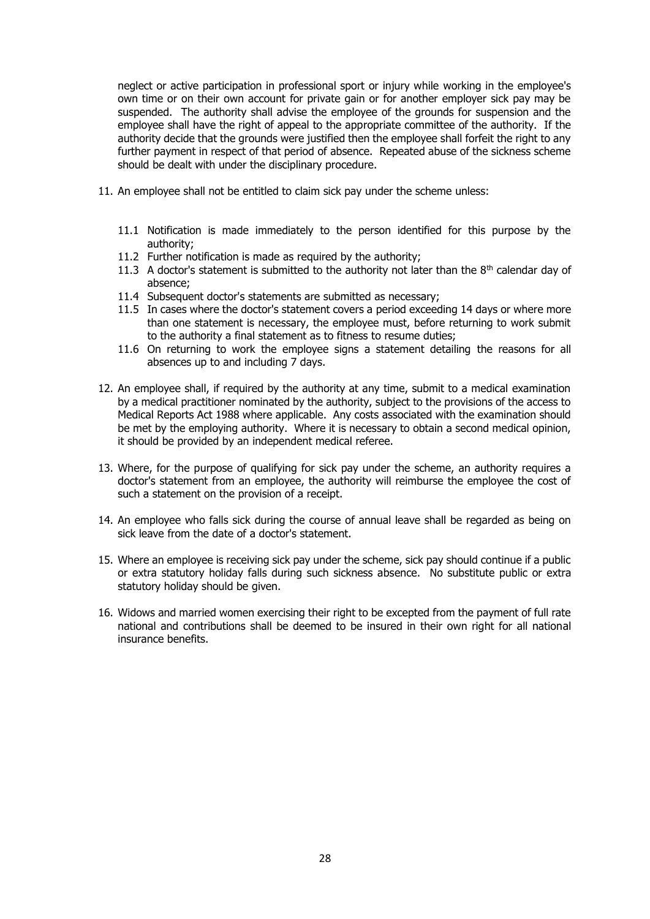neglect or active participation in professional sport or injury while working in the employee's own time or on their own account for private gain or for another employer sick pay may be suspended. The authority shall advise the employee of the grounds for suspension and the employee shall have the right of appeal to the appropriate committee of the authority. If the authority decide that the grounds were justified then the employee shall forfeit the right to any further payment in respect of that period of absence. Repeated abuse of the sickness scheme should be dealt with under the disciplinary procedure.

- 11. An employee shall not be entitled to claim sick pay under the scheme unless:
	- 11.1 Notification is made immediately to the person identified for this purpose by the authority;
	- 11.2 Further notification is made as required by the authority;
	- 11.3 A doctor's statement is submitted to the authority not later than the  $8<sup>th</sup>$  calendar day of absence;
	- 11.4 Subsequent doctor's statements are submitted as necessary;
	- 11.5 In cases where the doctor's statement covers a period exceeding 14 days or where more than one statement is necessary, the employee must, before returning to work submit to the authority a final statement as to fitness to resume duties;
	- 11.6 On returning to work the employee signs a statement detailing the reasons for all absences up to and including 7 days.
- 12. An employee shall, if required by the authority at any time, submit to a medical examination by a medical practitioner nominated by the authority, subject to the provisions of the access to Medical Reports Act 1988 where applicable. Any costs associated with the examination should be met by the employing authority. Where it is necessary to obtain a second medical opinion, it should be provided by an independent medical referee.
- 13. Where, for the purpose of qualifying for sick pay under the scheme, an authority requires a doctor's statement from an employee, the authority will reimburse the employee the cost of such a statement on the provision of a receipt.
- 14. An employee who falls sick during the course of annual leave shall be regarded as being on sick leave from the date of a doctor's statement.
- 15. Where an employee is receiving sick pay under the scheme, sick pay should continue if a public or extra statutory holiday falls during such sickness absence. No substitute public or extra statutory holiday should be given.
- 16. Widows and married women exercising their right to be excepted from the payment of full rate national and contributions shall be deemed to be insured in their own right for all national insurance benefits.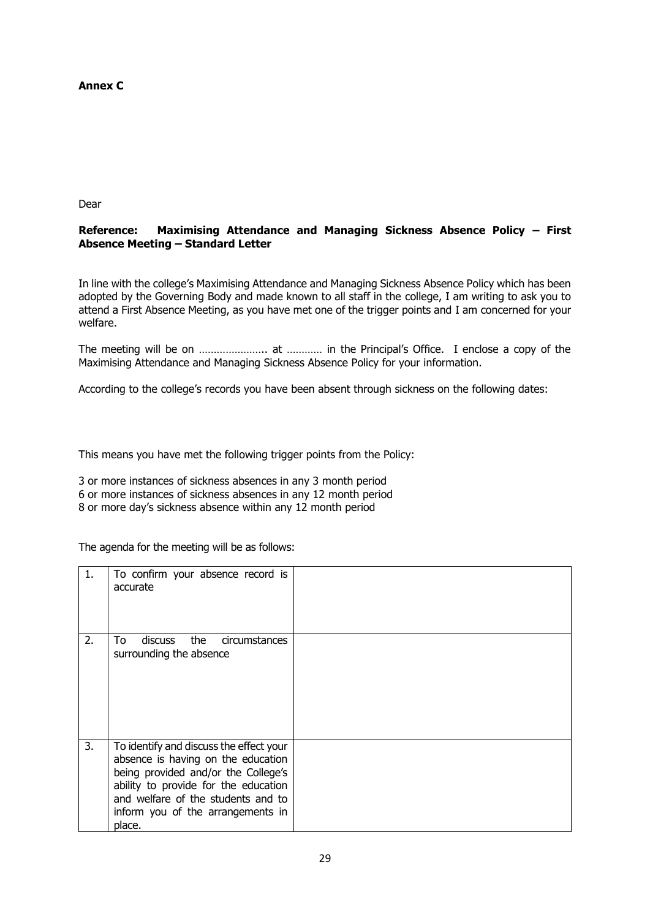# **Annex C**

Dear

### **Reference: Maximising Attendance and Managing Sickness Absence Policy – First Absence Meeting – Standard Letter**

In line with the college's Maximising Attendance and Managing Sickness Absence Policy which has been adopted by the Governing Body and made known to all staff in the college, I am writing to ask you to attend a First Absence Meeting, as you have met one of the trigger points and I am concerned for your welfare.

The meeting will be on ………………….. at ………… in the Principal's Office. I enclose a copy of the Maximising Attendance and Managing Sickness Absence Policy for your information.

According to the college's records you have been absent through sickness on the following dates:

This means you have met the following trigger points from the Policy:

3 or more instances of sickness absences in any 3 month period 6 or more instances of sickness absences in any 12 month period 8 or more day's sickness absence within any 12 month period

The agenda for the meeting will be as follows:

| 1. | To confirm your absence record is<br>accurate                                                                                                                                                                                                     |  |
|----|---------------------------------------------------------------------------------------------------------------------------------------------------------------------------------------------------------------------------------------------------|--|
| 2. | the<br>To<br><b>discuss</b><br>circumstances<br>surrounding the absence                                                                                                                                                                           |  |
| 3. | To identify and discuss the effect your<br>absence is having on the education<br>being provided and/or the College's<br>ability to provide for the education<br>and welfare of the students and to<br>inform you of the arrangements in<br>place. |  |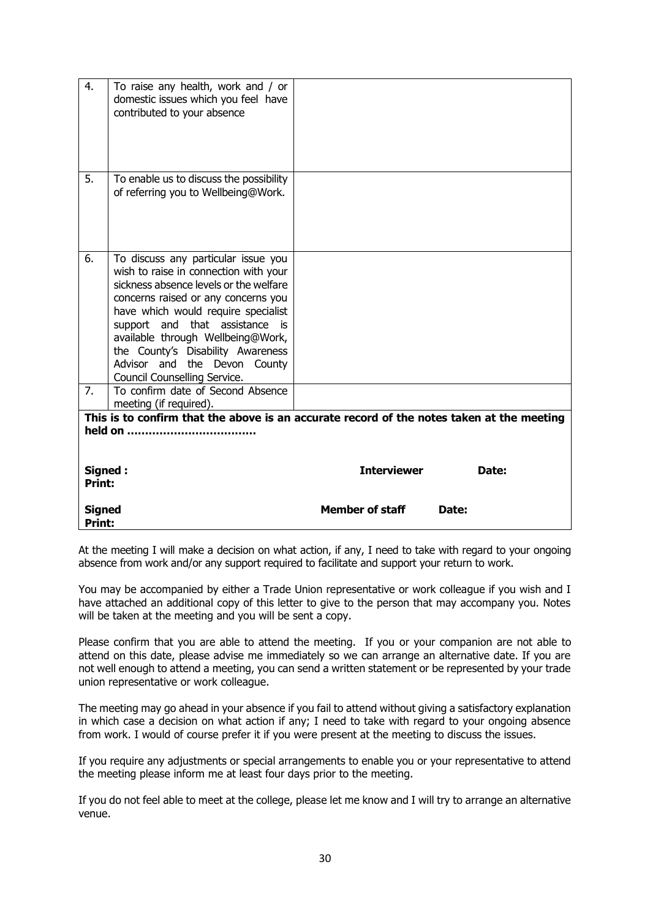| 4.                                                                                                                                            | To raise any health, work and / or<br>domestic issues which you feel have<br>contributed to your absence                                                                                                                                                                                                                                                                         |                                 |
|-----------------------------------------------------------------------------------------------------------------------------------------------|----------------------------------------------------------------------------------------------------------------------------------------------------------------------------------------------------------------------------------------------------------------------------------------------------------------------------------------------------------------------------------|---------------------------------|
| 5.                                                                                                                                            | To enable us to discuss the possibility<br>of referring you to Wellbeing@Work.                                                                                                                                                                                                                                                                                                   |                                 |
| 6.                                                                                                                                            | To discuss any particular issue you<br>wish to raise in connection with your<br>sickness absence levels or the welfare<br>concerns raised or any concerns you<br>have which would require specialist<br>support and that assistance is<br>available through Wellbeing@Work,<br>the County's Disability Awareness<br>Advisor and the Devon County<br>Council Counselling Service. |                                 |
| 7.                                                                                                                                            | To confirm date of Second Absence<br>meeting (if required).                                                                                                                                                                                                                                                                                                                      |                                 |
| This is to confirm that the above is an accurate record of the notes taken at the meeting<br><b>Interviewer</b><br>Signed:<br>Date:<br>Print: |                                                                                                                                                                                                                                                                                                                                                                                  |                                 |
| <b>Signed</b><br><b>Print:</b>                                                                                                                |                                                                                                                                                                                                                                                                                                                                                                                  | <b>Member of staff</b><br>Date: |

At the meeting I will make a decision on what action, if any, I need to take with regard to your ongoing absence from work and/or any support required to facilitate and support your return to work.

You may be accompanied by either a Trade Union representative or work colleague if you wish and I have attached an additional copy of this letter to give to the person that may accompany you. Notes will be taken at the meeting and you will be sent a copy.

Please confirm that you are able to attend the meeting. If you or your companion are not able to attend on this date, please advise me immediately so we can arrange an alternative date. If you are not well enough to attend a meeting, you can send a written statement or be represented by your trade union representative or work colleague.

The meeting may go ahead in your absence if you fail to attend without giving a satisfactory explanation in which case a decision on what action if any; I need to take with regard to your ongoing absence from work. I would of course prefer it if you were present at the meeting to discuss the issues.

If you require any adjustments or special arrangements to enable you or your representative to attend the meeting please inform me at least four days prior to the meeting.

If you do not feel able to meet at the college, please let me know and I will try to arrange an alternative venue.